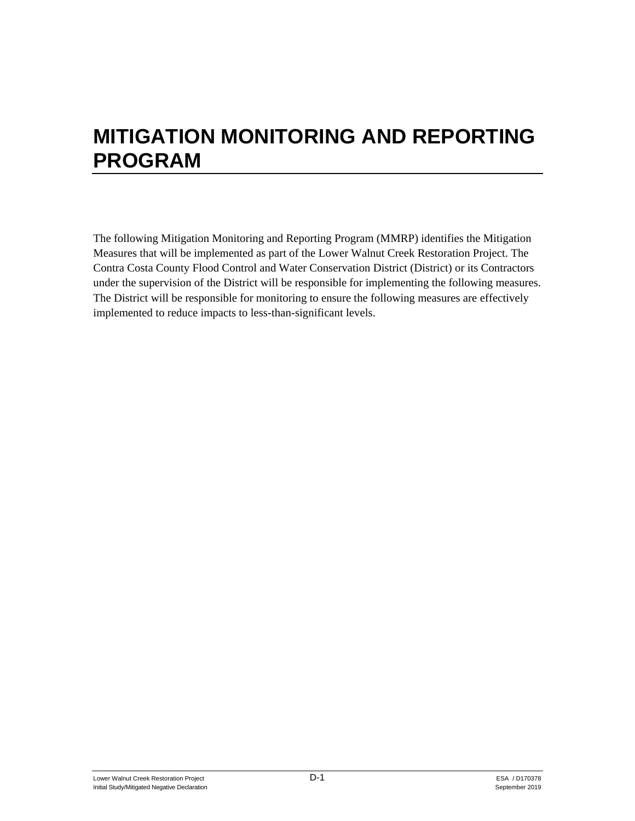# **MITIGATION MONITORING AND REPORTING PROGRAM**

The following Mitigation Monitoring and Reporting Program (MMRP) identifies the Mitigation Measures that will be implemented as part of the Lower Walnut Creek Restoration Project. The Contra Costa County Flood Control and Water Conservation District (District) or its Contractors under the supervision of the District will be responsible for implementing the following measures. The District will be responsible for monitoring to ensure the following measures are effectively implemented to reduce impacts to less-than-significant levels.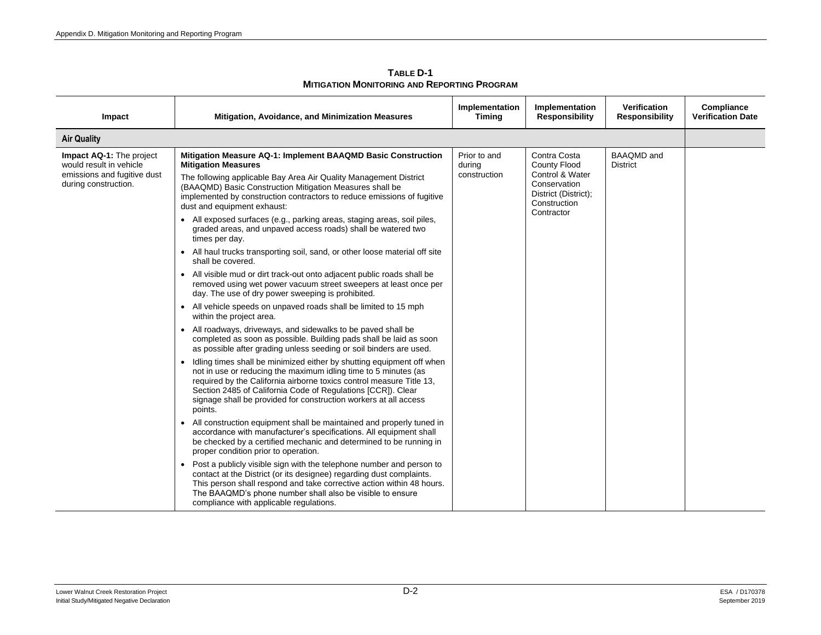| <b>Air Quality</b><br>Mitigation Measure AQ-1: Implement BAAQMD Basic Construction<br>Prior to and<br>Impact AQ-1: The project<br>would result in vehicle<br><b>Mitigation Measures</b><br>during                                                                                                                                                                                                                                                                                                                                                                                                                                                                                                                                                                                                                                                                                                                                                                                                                                                                                                                                                                                                                                                                                                                                                                                                                                                                                                                                                                                                                                                                                                                                                                                                                                                                                                                                                                                                                       | Contra Costa<br><b>County Flood</b><br>Control & Water<br>Conservation<br>District (District);<br>Construction<br>Contractor | <b>BAAQMD</b> and<br><b>District</b> |  |
|-------------------------------------------------------------------------------------------------------------------------------------------------------------------------------------------------------------------------------------------------------------------------------------------------------------------------------------------------------------------------------------------------------------------------------------------------------------------------------------------------------------------------------------------------------------------------------------------------------------------------------------------------------------------------------------------------------------------------------------------------------------------------------------------------------------------------------------------------------------------------------------------------------------------------------------------------------------------------------------------------------------------------------------------------------------------------------------------------------------------------------------------------------------------------------------------------------------------------------------------------------------------------------------------------------------------------------------------------------------------------------------------------------------------------------------------------------------------------------------------------------------------------------------------------------------------------------------------------------------------------------------------------------------------------------------------------------------------------------------------------------------------------------------------------------------------------------------------------------------------------------------------------------------------------------------------------------------------------------------------------------------------------|------------------------------------------------------------------------------------------------------------------------------|--------------------------------------|--|
|                                                                                                                                                                                                                                                                                                                                                                                                                                                                                                                                                                                                                                                                                                                                                                                                                                                                                                                                                                                                                                                                                                                                                                                                                                                                                                                                                                                                                                                                                                                                                                                                                                                                                                                                                                                                                                                                                                                                                                                                                         |                                                                                                                              |                                      |  |
| emissions and fugitive dust<br>construction<br>The following applicable Bay Area Air Quality Management District<br>during construction.<br>(BAAQMD) Basic Construction Mitigation Measures shall be<br>implemented by construction contractors to reduce emissions of fugitive<br>dust and equipment exhaust:<br>• All exposed surfaces (e.g., parking areas, staging areas, soil piles,<br>graded areas, and unpaved access roads) shall be watered two<br>times per day.<br>• All haul trucks transporting soil, sand, or other loose material off site<br>shall be covered.<br>• All visible mud or dirt track-out onto adjacent public roads shall be<br>removed using wet power vacuum street sweepers at least once per<br>day. The use of dry power sweeping is prohibited.<br>• All vehicle speeds on unpaved roads shall be limited to 15 mph<br>within the project area.<br>• All roadways, driveways, and sidewalks to be paved shall be<br>completed as soon as possible. Building pads shall be laid as soon<br>as possible after grading unless seeding or soil binders are used.<br>Idling times shall be minimized either by shutting equipment off when<br>not in use or reducing the maximum idling time to 5 minutes (as<br>required by the California airborne toxics control measure Title 13,<br>Section 2485 of California Code of Regulations [CCR]). Clear<br>signage shall be provided for construction workers at all access<br>points.<br>All construction equipment shall be maintained and properly tuned in<br>accordance with manufacturer's specifications. All equipment shall<br>be checked by a certified mechanic and determined to be running in<br>proper condition prior to operation.<br>• Post a publicly visible sign with the telephone number and person to<br>contact at the District (or its designee) regarding dust complaints.<br>This person shall respond and take corrective action within 48 hours.<br>The BAAQMD's phone number shall also be visible to ensure |                                                                                                                              |                                      |  |

**TABLE D-1 MITIGATION MONITORING AND REPORTING PROGRAM**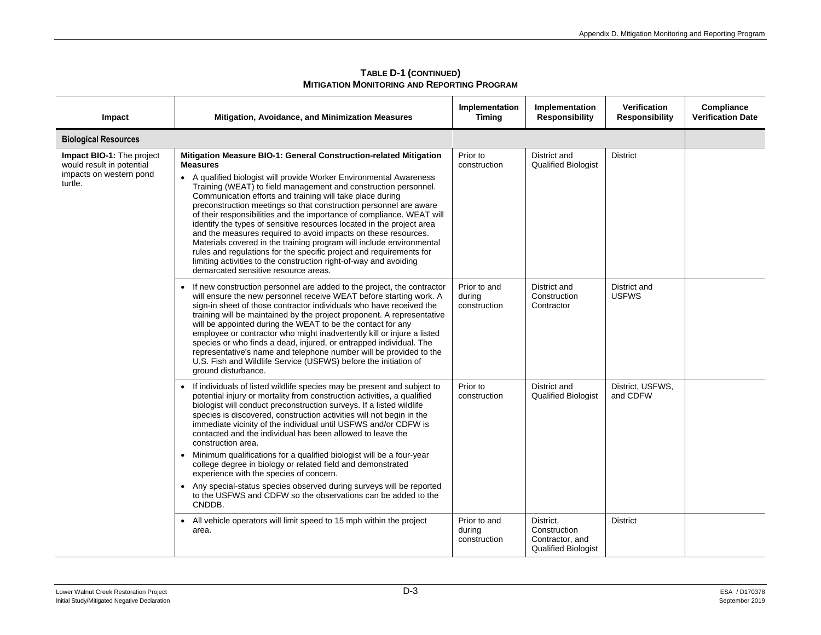| Impact                                                                                       | Mitigation, Avoidance, and Minimization Measures                                                                                                                                                                                                                                                                                                                                                                                                                                                                                                                                                                                                                                                                                                                                                                                                 | Implementation<br>Timing               | Implementation<br><b>Responsibility</b>                                    | <b>Verification</b><br><b>Responsibility</b> | Compliance<br><b>Verification Date</b> |
|----------------------------------------------------------------------------------------------|--------------------------------------------------------------------------------------------------------------------------------------------------------------------------------------------------------------------------------------------------------------------------------------------------------------------------------------------------------------------------------------------------------------------------------------------------------------------------------------------------------------------------------------------------------------------------------------------------------------------------------------------------------------------------------------------------------------------------------------------------------------------------------------------------------------------------------------------------|----------------------------------------|----------------------------------------------------------------------------|----------------------------------------------|----------------------------------------|
| <b>Biological Resources</b>                                                                  |                                                                                                                                                                                                                                                                                                                                                                                                                                                                                                                                                                                                                                                                                                                                                                                                                                                  |                                        |                                                                            |                                              |                                        |
| Impact BIO-1: The project<br>would result in potential<br>impacts on western pond<br>turtle. | Mitigation Measure BIO-1: General Construction-related Mitigation<br><b>Measures</b><br>• A qualified biologist will provide Worker Environmental Awareness<br>Training (WEAT) to field management and construction personnel.<br>Communication efforts and training will take place during<br>preconstruction meetings so that construction personnel are aware<br>of their responsibilities and the importance of compliance. WEAT will<br>identify the types of sensitive resources located in the project area<br>and the measures required to avoid impacts on these resources.<br>Materials covered in the training program will include environmental<br>rules and regulations for the specific project and requirements for<br>limiting activities to the construction right-of-way and avoiding<br>demarcated sensitive resource areas. | Prior to<br>construction               | District and<br><b>Qualified Biologist</b>                                 | <b>District</b>                              |                                        |
|                                                                                              | If new construction personnel are added to the project, the contractor<br>will ensure the new personnel receive WEAT before starting work. A<br>sign-in sheet of those contractor individuals who have received the<br>training will be maintained by the project proponent. A representative<br>will be appointed during the WEAT to be the contact for any<br>employee or contractor who might inadvertently kill or injure a listed<br>species or who finds a dead, injured, or entrapped individual. The<br>representative's name and telephone number will be provided to the<br>U.S. Fish and Wildlife Service (USFWS) before the initiation of<br>ground disturbance.                                                                                                                                                                     | Prior to and<br>during<br>construction | District and<br>Construction<br>Contractor                                 | District and<br><b>USFWS</b>                 |                                        |
|                                                                                              | • If individuals of listed wildlife species may be present and subject to<br>potential injury or mortality from construction activities, a qualified<br>biologist will conduct preconstruction surveys. If a listed wildlife<br>species is discovered, construction activities will not begin in the<br>immediate vicinity of the individual until USFWS and/or CDFW is<br>contacted and the individual has been allowed to leave the<br>construction area.<br>• Minimum qualifications for a qualified biologist will be a four-year<br>college degree in biology or related field and demonstrated<br>experience with the species of concern.<br>• Any special-status species observed during surveys will be reported<br>to the USFWS and CDFW so the observations can be added to the<br>CNDDB.                                              | Prior to<br>construction               | District and<br><b>Qualified Biologist</b>                                 | District, USFWS,<br>and CDFW                 |                                        |
|                                                                                              | • All vehicle operators will limit speed to 15 mph within the project<br>area.                                                                                                                                                                                                                                                                                                                                                                                                                                                                                                                                                                                                                                                                                                                                                                   | Prior to and<br>during<br>construction | District,<br>Construction<br>Contractor, and<br><b>Qualified Biologist</b> | <b>District</b>                              |                                        |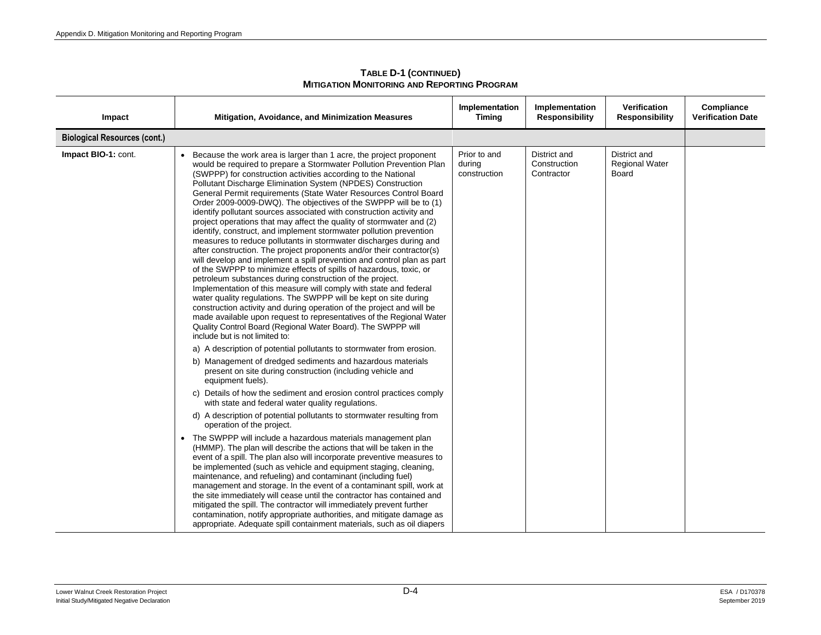| Impact                              | Mitigation, Avoidance, and Minimization Measures                                                                                                                                                                                                                                                                                                                                                                                                                                                                                                                                                                                                                                                                                                                                                                                                                                                                                                                                                                                                                                                                                                                                                                                                                                                                                                                                                                                                                                                                                                                                                                                                                                                                                                                                                                                                                                                                                                                                                                                                                                                                                                                                                                                                                                                                                                                                                                                            | Implementation<br><b>Timing</b>        | Implementation<br><b>Responsibility</b>    | Verification<br><b>Responsibility</b>          | Compliance<br><b>Verification Date</b> |
|-------------------------------------|---------------------------------------------------------------------------------------------------------------------------------------------------------------------------------------------------------------------------------------------------------------------------------------------------------------------------------------------------------------------------------------------------------------------------------------------------------------------------------------------------------------------------------------------------------------------------------------------------------------------------------------------------------------------------------------------------------------------------------------------------------------------------------------------------------------------------------------------------------------------------------------------------------------------------------------------------------------------------------------------------------------------------------------------------------------------------------------------------------------------------------------------------------------------------------------------------------------------------------------------------------------------------------------------------------------------------------------------------------------------------------------------------------------------------------------------------------------------------------------------------------------------------------------------------------------------------------------------------------------------------------------------------------------------------------------------------------------------------------------------------------------------------------------------------------------------------------------------------------------------------------------------------------------------------------------------------------------------------------------------------------------------------------------------------------------------------------------------------------------------------------------------------------------------------------------------------------------------------------------------------------------------------------------------------------------------------------------------------------------------------------------------------------------------------------------------|----------------------------------------|--------------------------------------------|------------------------------------------------|----------------------------------------|
| <b>Biological Resources (cont.)</b> |                                                                                                                                                                                                                                                                                                                                                                                                                                                                                                                                                                                                                                                                                                                                                                                                                                                                                                                                                                                                                                                                                                                                                                                                                                                                                                                                                                                                                                                                                                                                                                                                                                                                                                                                                                                                                                                                                                                                                                                                                                                                                                                                                                                                                                                                                                                                                                                                                                             |                                        |                                            |                                                |                                        |
| Impact BIO-1: cont.                 | Because the work area is larger than 1 acre, the project proponent<br>would be required to prepare a Stormwater Pollution Prevention Plan<br>(SWPPP) for construction activities according to the National<br>Pollutant Discharge Elimination System (NPDES) Construction<br>General Permit requirements (State Water Resources Control Board<br>Order 2009-0009-DWQ). The objectives of the SWPPP will be to (1)<br>identify pollutant sources associated with construction activity and<br>project operations that may affect the quality of stormwater and (2)<br>identify, construct, and implement stormwater pollution prevention<br>measures to reduce pollutants in stormwater discharges during and<br>after construction. The project proponents and/or their contractor(s)<br>will develop and implement a spill prevention and control plan as part<br>of the SWPPP to minimize effects of spills of hazardous, toxic, or<br>petroleum substances during construction of the project.<br>Implementation of this measure will comply with state and federal<br>water quality regulations. The SWPPP will be kept on site during<br>construction activity and during operation of the project and will be<br>made available upon request to representatives of the Regional Water<br>Quality Control Board (Regional Water Board). The SWPPP will<br>include but is not limited to:<br>a) A description of potential pollutants to stormwater from erosion.<br>b) Management of dredged sediments and hazardous materials<br>present on site during construction (including vehicle and<br>equipment fuels).<br>c) Details of how the sediment and erosion control practices comply<br>with state and federal water quality regulations.<br>d) A description of potential pollutants to stormwater resulting from<br>operation of the project.<br>• The SWPPP will include a hazardous materials management plan<br>(HMMP). The plan will describe the actions that will be taken in the<br>event of a spill. The plan also will incorporate preventive measures to<br>be implemented (such as vehicle and equipment staging, cleaning,<br>maintenance, and refueling) and contaminant (including fuel)<br>management and storage. In the event of a contaminant spill, work at<br>the site immediately will cease until the contractor has contained and<br>mitigated the spill. The contractor will immediately prevent further | Prior to and<br>during<br>construction | District and<br>Construction<br>Contractor | District and<br><b>Regional Water</b><br>Board |                                        |
|                                     | contamination, notify appropriate authorities, and mitigate damage as<br>appropriate. Adequate spill containment materials, such as oil diapers                                                                                                                                                                                                                                                                                                                                                                                                                                                                                                                                                                                                                                                                                                                                                                                                                                                                                                                                                                                                                                                                                                                                                                                                                                                                                                                                                                                                                                                                                                                                                                                                                                                                                                                                                                                                                                                                                                                                                                                                                                                                                                                                                                                                                                                                                             |                                        |                                            |                                                |                                        |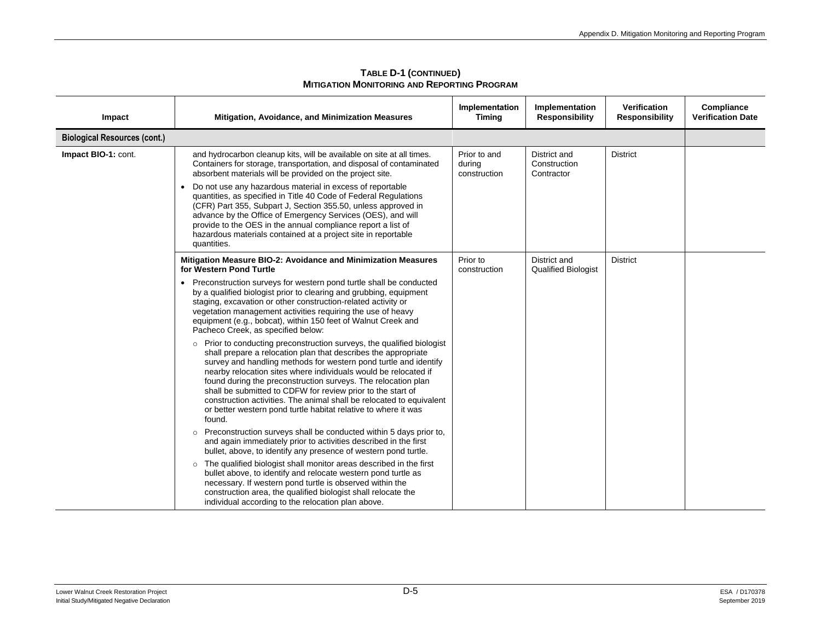| Impact                              | <b>Mitigation, Avoidance, and Minimization Measures</b>                                                                                                                                                                                                                                                                                                                                                                                                                                                                                                             | Implementation<br><b>Timing</b>        | Implementation<br><b>Responsibility</b>    | <b>Verification</b><br><b>Responsibility</b> | Compliance<br><b>Verification Date</b> |
|-------------------------------------|---------------------------------------------------------------------------------------------------------------------------------------------------------------------------------------------------------------------------------------------------------------------------------------------------------------------------------------------------------------------------------------------------------------------------------------------------------------------------------------------------------------------------------------------------------------------|----------------------------------------|--------------------------------------------|----------------------------------------------|----------------------------------------|
| <b>Biological Resources (cont.)</b> |                                                                                                                                                                                                                                                                                                                                                                                                                                                                                                                                                                     |                                        |                                            |                                              |                                        |
| Impact BIO-1: cont.                 | and hydrocarbon cleanup kits, will be available on site at all times.<br>Containers for storage, transportation, and disposal of contaminated<br>absorbent materials will be provided on the project site.                                                                                                                                                                                                                                                                                                                                                          | Prior to and<br>during<br>construction | District and<br>Construction<br>Contractor | <b>District</b>                              |                                        |
|                                     | Do not use any hazardous material in excess of reportable<br>quantities, as specified in Title 40 Code of Federal Regulations<br>(CFR) Part 355, Subpart J, Section 355.50, unless approved in<br>advance by the Office of Emergency Services (OES), and will<br>provide to the OES in the annual compliance report a list of<br>hazardous materials contained at a project site in reportable<br>quantities.                                                                                                                                                       |                                        |                                            |                                              |                                        |
|                                     | Mitigation Measure BIO-2: Avoidance and Minimization Measures<br>for Western Pond Turtle                                                                                                                                                                                                                                                                                                                                                                                                                                                                            | Prior to<br>construction               | District and<br><b>Qualified Biologist</b> | <b>District</b>                              |                                        |
|                                     | • Preconstruction surveys for western pond turtle shall be conducted<br>by a qualified biologist prior to clearing and grubbing, equipment<br>staging, excavation or other construction-related activity or<br>vegetation management activities requiring the use of heavy<br>equipment (e.g., bobcat), within 150 feet of Walnut Creek and<br>Pacheco Creek, as specified below:                                                                                                                                                                                   |                                        |                                            |                                              |                                        |
|                                     | o Prior to conducting preconstruction surveys, the qualified biologist<br>shall prepare a relocation plan that describes the appropriate<br>survey and handling methods for western pond turtle and identify<br>nearby relocation sites where individuals would be relocated if<br>found during the preconstruction surveys. The relocation plan<br>shall be submitted to CDFW for review prior to the start of<br>construction activities. The animal shall be relocated to equivalent<br>or better western pond turtle habitat relative to where it was<br>found. |                                        |                                            |                                              |                                        |
|                                     | Preconstruction surveys shall be conducted within 5 days prior to,<br>$\circ$<br>and again immediately prior to activities described in the first<br>bullet, above, to identify any presence of western pond turtle.                                                                                                                                                                                                                                                                                                                                                |                                        |                                            |                                              |                                        |
|                                     | The qualified biologist shall monitor areas described in the first<br>$\circ$<br>bullet above, to identify and relocate western pond turtle as<br>necessary. If western pond turtle is observed within the<br>construction area, the qualified biologist shall relocate the<br>individual according to the relocation plan above.                                                                                                                                                                                                                                   |                                        |                                            |                                              |                                        |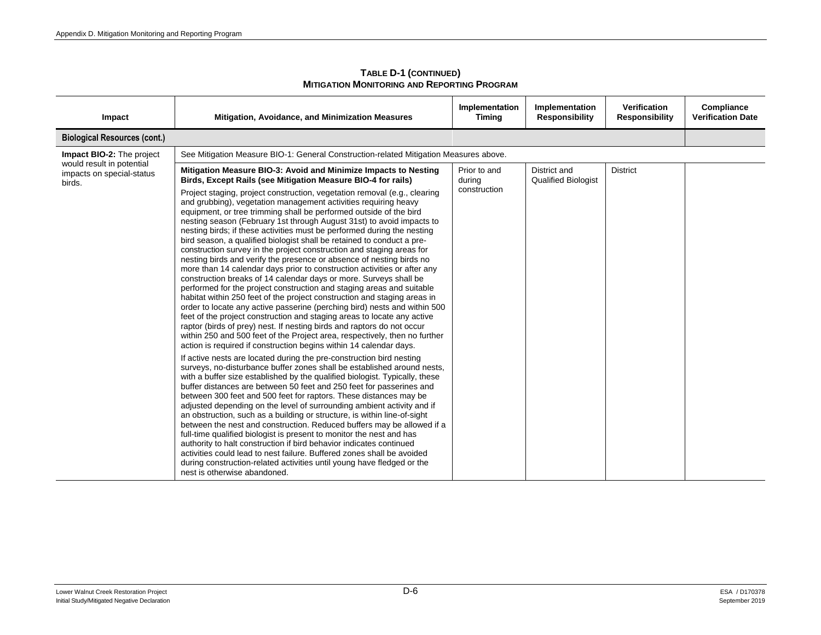| TABLE D-1 (CONTINUED)                              |
|----------------------------------------------------|
| <b>MITIGATION MONITORING AND REPORTING PROGRAM</b> |

| Impact                                                           | Mitigation, Avoidance, and Minimization Measures                                                                                                                                                                                                                                                                                                                                                                                                                                                                                                                                                                                                                                                                                                                                                                                                                                                                                                                                                                                                                                                                                                                                                                                                                                                                                                                                                                                                                                                                                                                                                                                                                                                                                                                                                                                                                                                                                                                                                                                                                                                                                                                                                                                                | Implementation<br><b>Timing</b> | Implementation<br><b>Responsibility</b>    | <b>Verification</b><br><b>Responsibility</b> | Compliance<br><b>Verification Date</b> |
|------------------------------------------------------------------|-------------------------------------------------------------------------------------------------------------------------------------------------------------------------------------------------------------------------------------------------------------------------------------------------------------------------------------------------------------------------------------------------------------------------------------------------------------------------------------------------------------------------------------------------------------------------------------------------------------------------------------------------------------------------------------------------------------------------------------------------------------------------------------------------------------------------------------------------------------------------------------------------------------------------------------------------------------------------------------------------------------------------------------------------------------------------------------------------------------------------------------------------------------------------------------------------------------------------------------------------------------------------------------------------------------------------------------------------------------------------------------------------------------------------------------------------------------------------------------------------------------------------------------------------------------------------------------------------------------------------------------------------------------------------------------------------------------------------------------------------------------------------------------------------------------------------------------------------------------------------------------------------------------------------------------------------------------------------------------------------------------------------------------------------------------------------------------------------------------------------------------------------------------------------------------------------------------------------------------------------|---------------------------------|--------------------------------------------|----------------------------------------------|----------------------------------------|
| <b>Biological Resources (cont.)</b>                              |                                                                                                                                                                                                                                                                                                                                                                                                                                                                                                                                                                                                                                                                                                                                                                                                                                                                                                                                                                                                                                                                                                                                                                                                                                                                                                                                                                                                                                                                                                                                                                                                                                                                                                                                                                                                                                                                                                                                                                                                                                                                                                                                                                                                                                                 |                                 |                                            |                                              |                                        |
| Impact BIO-2: The project                                        | See Mitigation Measure BIO-1: General Construction-related Mitigation Measures above.                                                                                                                                                                                                                                                                                                                                                                                                                                                                                                                                                                                                                                                                                                                                                                                                                                                                                                                                                                                                                                                                                                                                                                                                                                                                                                                                                                                                                                                                                                                                                                                                                                                                                                                                                                                                                                                                                                                                                                                                                                                                                                                                                           |                                 |                                            |                                              |                                        |
| would result in potential<br>impacts on special-status<br>birds. | Mitigation Measure BIO-3: Avoid and Minimize Impacts to Nesting<br>Birds, Except Rails (see Mitigation Measure BIO-4 for rails)                                                                                                                                                                                                                                                                                                                                                                                                                                                                                                                                                                                                                                                                                                                                                                                                                                                                                                                                                                                                                                                                                                                                                                                                                                                                                                                                                                                                                                                                                                                                                                                                                                                                                                                                                                                                                                                                                                                                                                                                                                                                                                                 | Prior to and<br>during          | District and<br><b>Qualified Biologist</b> | <b>District</b>                              |                                        |
|                                                                  | Project staging, project construction, vegetation removal (e.g., clearing<br>and grubbing), vegetation management activities requiring heavy<br>equipment, or tree trimming shall be performed outside of the bird<br>nesting season (February 1st through August 31st) to avoid impacts to<br>nesting birds; if these activities must be performed during the nesting<br>bird season, a qualified biologist shall be retained to conduct a pre-<br>construction survey in the project construction and staging areas for<br>nesting birds and verify the presence or absence of nesting birds no<br>more than 14 calendar days prior to construction activities or after any<br>construction breaks of 14 calendar days or more. Surveys shall be<br>performed for the project construction and staging areas and suitable<br>habitat within 250 feet of the project construction and staging areas in<br>order to locate any active passerine (perching bird) nests and within 500<br>feet of the project construction and staging areas to locate any active<br>raptor (birds of prey) nest. If nesting birds and raptors do not occur<br>within 250 and 500 feet of the Project area, respectively, then no further<br>action is required if construction begins within 14 calendar days.<br>If active nests are located during the pre-construction bird nesting<br>surveys, no-disturbance buffer zones shall be established around nests,<br>with a buffer size established by the qualified biologist. Typically, these<br>buffer distances are between 50 feet and 250 feet for passerines and<br>between 300 feet and 500 feet for raptors. These distances may be<br>adjusted depending on the level of surrounding ambient activity and if<br>an obstruction, such as a building or structure, is within line-of-sight<br>between the nest and construction. Reduced buffers may be allowed if a<br>full-time qualified biologist is present to monitor the nest and has<br>authority to halt construction if bird behavior indicates continued<br>activities could lead to nest failure. Buffered zones shall be avoided<br>during construction-related activities until young have fledged or the<br>nest is otherwise abandoned. | construction                    |                                            |                                              |                                        |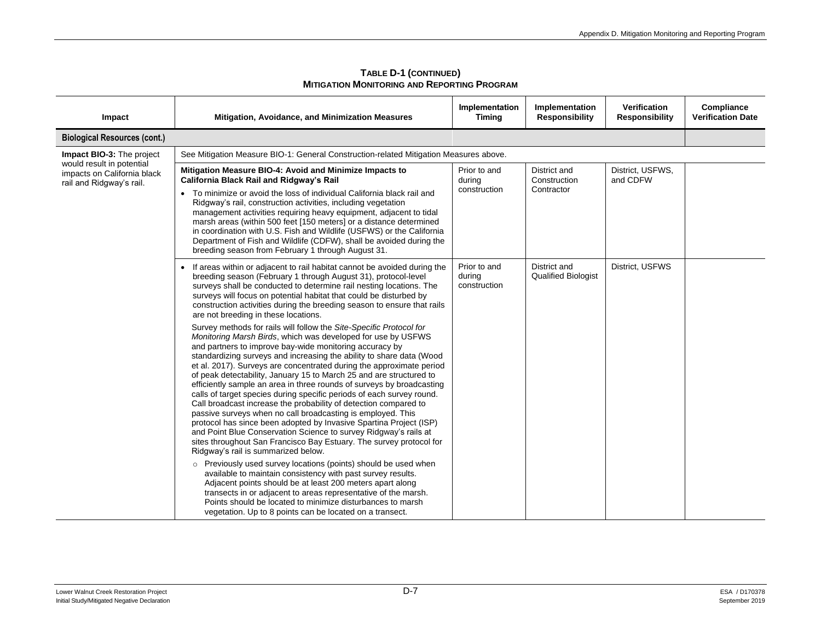| TABLE D-1 (CONTINUED)                       |  |
|---------------------------------------------|--|
| Mitigation Monitoring and Reporting Program |  |

| Impact                                                                               | Mitigation, Avoidance, and Minimization Measures                                                                                                                                                                                                                                                                                                                                                                                                                                                                                                                                                                                                                                                                                                                                                                                                                                                                                                                   | Implementation<br><b>Timing</b>        | Implementation<br><b>Responsibility</b>    | <b>Verification</b><br><b>Responsibility</b> | Compliance<br><b>Verification Date</b> |
|--------------------------------------------------------------------------------------|--------------------------------------------------------------------------------------------------------------------------------------------------------------------------------------------------------------------------------------------------------------------------------------------------------------------------------------------------------------------------------------------------------------------------------------------------------------------------------------------------------------------------------------------------------------------------------------------------------------------------------------------------------------------------------------------------------------------------------------------------------------------------------------------------------------------------------------------------------------------------------------------------------------------------------------------------------------------|----------------------------------------|--------------------------------------------|----------------------------------------------|----------------------------------------|
| <b>Biological Resources (cont.)</b>                                                  |                                                                                                                                                                                                                                                                                                                                                                                                                                                                                                                                                                                                                                                                                                                                                                                                                                                                                                                                                                    |                                        |                                            |                                              |                                        |
| Impact BIO-3: The project                                                            | See Mitigation Measure BIO-1: General Construction-related Mitigation Measures above.                                                                                                                                                                                                                                                                                                                                                                                                                                                                                                                                                                                                                                                                                                                                                                                                                                                                              |                                        |                                            |                                              |                                        |
| would result in potential<br>impacts on California black<br>rail and Ridgway's rail. | Mitigation Measure BIO-4: Avoid and Minimize Impacts to<br>California Black Rail and Ridgway's Rail                                                                                                                                                                                                                                                                                                                                                                                                                                                                                                                                                                                                                                                                                                                                                                                                                                                                | Prior to and<br>during                 | District and<br>Construction               | District, USFWS,<br>and CDFW                 |                                        |
|                                                                                      | • To minimize or avoid the loss of individual California black rail and<br>Ridgway's rail, construction activities, including vegetation<br>management activities requiring heavy equipment, adjacent to tidal<br>marsh areas (within 500 feet [150 meters] or a distance determined<br>in coordination with U.S. Fish and Wildlife (USFWS) or the California<br>Department of Fish and Wildlife (CDFW), shall be avoided during the<br>breeding season from February 1 through August 31.                                                                                                                                                                                                                                                                                                                                                                                                                                                                         | construction                           | Contractor                                 |                                              |                                        |
|                                                                                      | • If areas within or adjacent to rail habitat cannot be avoided during the<br>breeding season (February 1 through August 31), protocol-level<br>surveys shall be conducted to determine rail nesting locations. The<br>surveys will focus on potential habitat that could be disturbed by<br>construction activities during the breeding season to ensure that rails<br>are not breeding in these locations.                                                                                                                                                                                                                                                                                                                                                                                                                                                                                                                                                       | Prior to and<br>during<br>construction | District and<br><b>Qualified Biologist</b> | District, USFWS                              |                                        |
|                                                                                      | Survey methods for rails will follow the Site-Specific Protocol for<br>Monitoring Marsh Birds, which was developed for use by USFWS<br>and partners to improve bay-wide monitoring accuracy by<br>standardizing surveys and increasing the ability to share data (Wood<br>et al. 2017). Surveys are concentrated during the approximate period<br>of peak detectability, January 15 to March 25 and are structured to<br>efficiently sample an area in three rounds of surveys by broadcasting<br>calls of target species during specific periods of each survey round.<br>Call broadcast increase the probability of detection compared to<br>passive surveys when no call broadcasting is employed. This<br>protocol has since been adopted by Invasive Spartina Project (ISP)<br>and Point Blue Conservation Science to survey Ridgway's rails at<br>sites throughout San Francisco Bay Estuary. The survey protocol for<br>Ridgway's rail is summarized below. |                                        |                                            |                                              |                                        |
|                                                                                      | o Previously used survey locations (points) should be used when<br>available to maintain consistency with past survey results.<br>Adjacent points should be at least 200 meters apart along<br>transects in or adjacent to areas representative of the marsh.<br>Points should be located to minimize disturbances to marsh<br>vegetation. Up to 8 points can be located on a transect.                                                                                                                                                                                                                                                                                                                                                                                                                                                                                                                                                                            |                                        |                                            |                                              |                                        |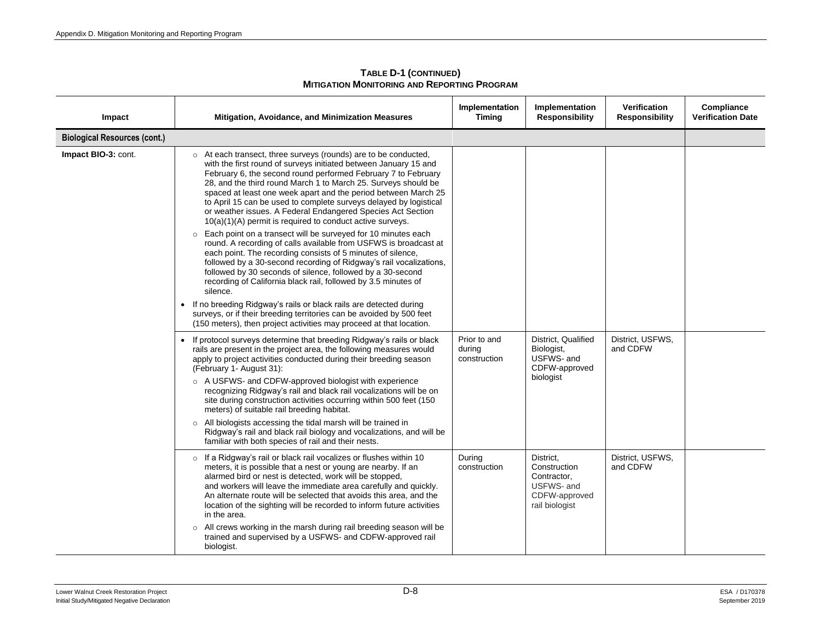| Impact                              | Mitigation, Avoidance, and Minimization Measures                                                                                                                                                                                                                                                                                                                                                                                                                                                                                                                                                                                                                                                                                                                                                                                                                                                                                                                                                                                                                                                                                                                                                                                                                                                                                                                          | Implementation<br><b>Timing</b> | Implementation<br><b>Responsibility</b>                                                   | <b>Verification</b><br><b>Responsibility</b> | Compliance<br><b>Verification Date</b> |
|-------------------------------------|---------------------------------------------------------------------------------------------------------------------------------------------------------------------------------------------------------------------------------------------------------------------------------------------------------------------------------------------------------------------------------------------------------------------------------------------------------------------------------------------------------------------------------------------------------------------------------------------------------------------------------------------------------------------------------------------------------------------------------------------------------------------------------------------------------------------------------------------------------------------------------------------------------------------------------------------------------------------------------------------------------------------------------------------------------------------------------------------------------------------------------------------------------------------------------------------------------------------------------------------------------------------------------------------------------------------------------------------------------------------------|---------------------------------|-------------------------------------------------------------------------------------------|----------------------------------------------|----------------------------------------|
| <b>Biological Resources (cont.)</b> |                                                                                                                                                                                                                                                                                                                                                                                                                                                                                                                                                                                                                                                                                                                                                                                                                                                                                                                                                                                                                                                                                                                                                                                                                                                                                                                                                                           |                                 |                                                                                           |                                              |                                        |
| Impact BIO-3: cont.                 | o At each transect, three surveys (rounds) are to be conducted,<br>with the first round of surveys initiated between January 15 and<br>February 6, the second round performed February 7 to February<br>28, and the third round March 1 to March 25. Surveys should be<br>spaced at least one week apart and the period between March 25<br>to April 15 can be used to complete surveys delayed by logistical<br>or weather issues. A Federal Endangered Species Act Section<br>$10(a)(1)(A)$ permit is required to conduct active surveys.<br>Each point on a transect will be surveyed for 10 minutes each<br>$\circ$<br>round. A recording of calls available from USFWS is broadcast at<br>each point. The recording consists of 5 minutes of silence,<br>followed by a 30-second recording of Ridgway's rail vocalizations,<br>followed by 30 seconds of silence, followed by a 30-second<br>recording of California black rail, followed by 3.5 minutes of<br>silence.<br>If no breeding Ridgway's rails or black rails are detected during<br>$\bullet$<br>surveys, or if their breeding territories can be avoided by 500 feet<br>(150 meters), then project activities may proceed at that location.<br>If protocol surveys determine that breeding Ridgway's rails or black<br>$\bullet$<br>rails are present in the project area, the following measures would | Prior to and<br>during          | District, Qualified<br>Biologist,                                                         | District, USFWS,<br>and CDFW                 |                                        |
|                                     | apply to project activities conducted during their breeding season<br>(February 1- August 31):<br>○ A USFWS- and CDFW-approved biologist with experience<br>recognizing Ridgway's rail and black rail vocalizations will be on<br>site during construction activities occurring within 500 feet (150)<br>meters) of suitable rail breeding habitat.<br>o All biologists accessing the tidal marsh will be trained in<br>Ridgway's rail and black rail biology and vocalizations, and will be<br>familiar with both species of rail and their nests.                                                                                                                                                                                                                                                                                                                                                                                                                                                                                                                                                                                                                                                                                                                                                                                                                       | construction                    | USFWS- and<br>CDFW-approved<br>biologist                                                  |                                              |                                        |
|                                     | o If a Ridgway's rail or black rail vocalizes or flushes within 10<br>meters, it is possible that a nest or young are nearby. If an<br>alarmed bird or nest is detected, work will be stopped,<br>and workers will leave the immediate area carefully and quickly.<br>An alternate route will be selected that avoids this area, and the<br>location of the sighting will be recorded to inform future activities<br>in the area.<br>o All crews working in the marsh during rail breeding season will be<br>trained and supervised by a USFWS- and CDFW-approved rail<br>biologist.                                                                                                                                                                                                                                                                                                                                                                                                                                                                                                                                                                                                                                                                                                                                                                                      | During<br>construction          | District,<br>Construction<br>Contractor,<br>USFWS- and<br>CDFW-approved<br>rail biologist | District, USFWS,<br>and CDFW                 |                                        |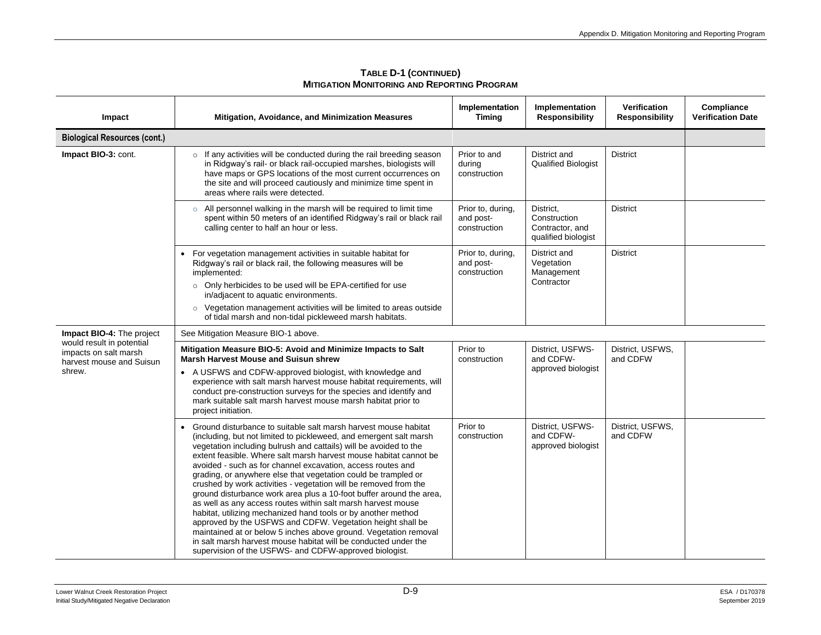| Impact                                                                         | Mitigation, Avoidance, and Minimization Measures                                                                                                                                                                                                                                                                                                                                                                                                                                                                                                                                                                                                                                                                                                                                                                                                                                                                                                            | Implementation<br><b>Timing</b>                | Implementation<br><b>Responsibility</b>                             | <b>Verification</b><br><b>Responsibility</b> | Compliance<br><b>Verification Date</b> |  |  |
|--------------------------------------------------------------------------------|-------------------------------------------------------------------------------------------------------------------------------------------------------------------------------------------------------------------------------------------------------------------------------------------------------------------------------------------------------------------------------------------------------------------------------------------------------------------------------------------------------------------------------------------------------------------------------------------------------------------------------------------------------------------------------------------------------------------------------------------------------------------------------------------------------------------------------------------------------------------------------------------------------------------------------------------------------------|------------------------------------------------|---------------------------------------------------------------------|----------------------------------------------|----------------------------------------|--|--|
| <b>Biological Resources (cont.)</b>                                            |                                                                                                                                                                                                                                                                                                                                                                                                                                                                                                                                                                                                                                                                                                                                                                                                                                                                                                                                                             |                                                |                                                                     |                                              |                                        |  |  |
| Impact BIO-3: cont.                                                            | o If any activities will be conducted during the rail breeding season<br>in Ridgway's rail- or black rail-occupied marshes, biologists will<br>have maps or GPS locations of the most current occurrences on<br>the site and will proceed cautiously and minimize time spent in<br>areas where rails were detected.                                                                                                                                                                                                                                                                                                                                                                                                                                                                                                                                                                                                                                         | Prior to and<br>during<br>construction         | District and<br><b>Qualified Biologist</b>                          | <b>District</b>                              |                                        |  |  |
|                                                                                | ○ All personnel walking in the marsh will be required to limit time<br>spent within 50 meters of an identified Ridgway's rail or black rail<br>calling center to half an hour or less.                                                                                                                                                                                                                                                                                                                                                                                                                                                                                                                                                                                                                                                                                                                                                                      | Prior to, during,<br>and post-<br>construction | District,<br>Construction<br>Contractor, and<br>qualified biologist | <b>District</b>                              |                                        |  |  |
|                                                                                | For vegetation management activities in suitable habitat for<br>Ridgway's rail or black rail, the following measures will be<br>implemented:<br>o Only herbicides to be used will be EPA-certified for use                                                                                                                                                                                                                                                                                                                                                                                                                                                                                                                                                                                                                                                                                                                                                  | Prior to, during,<br>and post-<br>construction | District and<br>Vegetation<br>Management<br>Contractor              | <b>District</b>                              |                                        |  |  |
|                                                                                | in/adjacent to aquatic environments.                                                                                                                                                                                                                                                                                                                                                                                                                                                                                                                                                                                                                                                                                                                                                                                                                                                                                                                        |                                                |                                                                     |                                              |                                        |  |  |
|                                                                                | $\circ$ Vegetation management activities will be limited to areas outside<br>of tidal marsh and non-tidal pickleweed marsh habitats.                                                                                                                                                                                                                                                                                                                                                                                                                                                                                                                                                                                                                                                                                                                                                                                                                        |                                                |                                                                     |                                              |                                        |  |  |
| Impact BIO-4: The project                                                      | See Mitigation Measure BIO-1 above.                                                                                                                                                                                                                                                                                                                                                                                                                                                                                                                                                                                                                                                                                                                                                                                                                                                                                                                         |                                                |                                                                     |                                              |                                        |  |  |
| would result in potential<br>impacts on salt marsh<br>harvest mouse and Suisun | Mitigation Measure BIO-5: Avoid and Minimize Impacts to Salt<br><b>Marsh Harvest Mouse and Suisun shrew</b>                                                                                                                                                                                                                                                                                                                                                                                                                                                                                                                                                                                                                                                                                                                                                                                                                                                 | Prior to<br>construction                       | District, USFWS-<br>and CDFW-                                       | District, USFWS,<br>and CDFW                 |                                        |  |  |
| shrew.                                                                         | • A USFWS and CDFW-approved biologist, with knowledge and<br>experience with salt marsh harvest mouse habitat requirements, will<br>conduct pre-construction surveys for the species and identify and<br>mark suitable salt marsh harvest mouse marsh habitat prior to<br>project initiation.                                                                                                                                                                                                                                                                                                                                                                                                                                                                                                                                                                                                                                                               |                                                | approved biologist                                                  |                                              |                                        |  |  |
|                                                                                | Ground disturbance to suitable salt marsh harvest mouse habitat<br>(including, but not limited to pickleweed, and emergent salt marsh<br>vegetation including bulrush and cattails) will be avoided to the<br>extent feasible. Where salt marsh harvest mouse habitat cannot be<br>avoided - such as for channel excavation, access routes and<br>grading, or anywhere else that vegetation could be trampled or<br>crushed by work activities - vegetation will be removed from the<br>ground disturbance work area plus a 10-foot buffer around the area,<br>as well as any access routes within salt marsh harvest mouse<br>habitat, utilizing mechanized hand tools or by another method<br>approved by the USFWS and CDFW. Vegetation height shall be<br>maintained at or below 5 inches above ground. Vegetation removal<br>in salt marsh harvest mouse habitat will be conducted under the<br>supervision of the USFWS- and CDFW-approved biologist. | Prior to<br>construction                       | District, USFWS-<br>and CDFW-<br>approved biologist                 | District, USFWS,<br>and CDFW                 |                                        |  |  |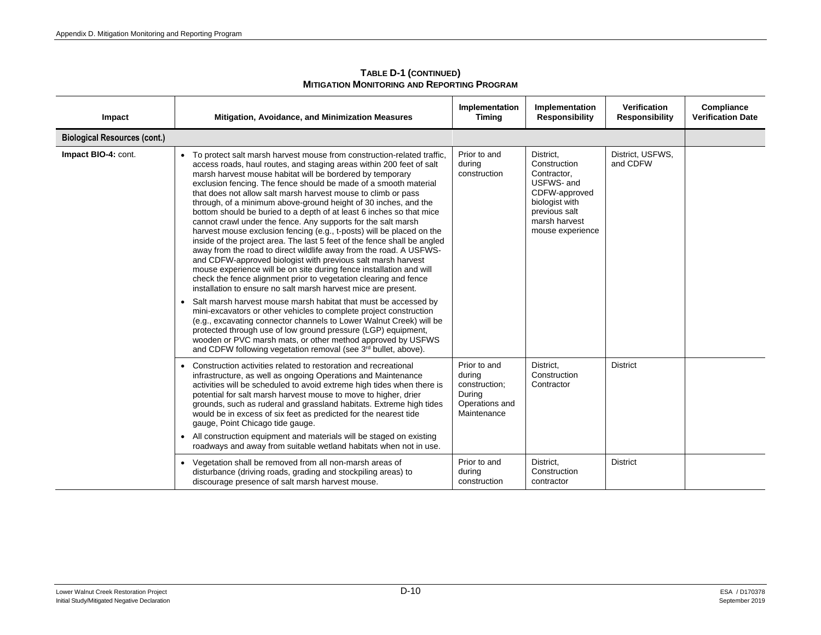| Impact                              | Mitigation, Avoidance, and Minimization Measures                                                                                                                                                                                                                                                                                                                                                                                                                                                                                                                                                                                                                                                                                                                                                                                                                                                                                                                                                                                                                                                                                                                                                                                                                                                                                                                                                                                                                                                      | Implementation<br><b>Timing</b>                                                    | Implementation<br><b>Responsibility</b>                                                                                                         | <b>Verification</b><br><b>Responsibility</b> | Compliance<br><b>Verification Date</b> |
|-------------------------------------|-------------------------------------------------------------------------------------------------------------------------------------------------------------------------------------------------------------------------------------------------------------------------------------------------------------------------------------------------------------------------------------------------------------------------------------------------------------------------------------------------------------------------------------------------------------------------------------------------------------------------------------------------------------------------------------------------------------------------------------------------------------------------------------------------------------------------------------------------------------------------------------------------------------------------------------------------------------------------------------------------------------------------------------------------------------------------------------------------------------------------------------------------------------------------------------------------------------------------------------------------------------------------------------------------------------------------------------------------------------------------------------------------------------------------------------------------------------------------------------------------------|------------------------------------------------------------------------------------|-------------------------------------------------------------------------------------------------------------------------------------------------|----------------------------------------------|----------------------------------------|
| <b>Biological Resources (cont.)</b> |                                                                                                                                                                                                                                                                                                                                                                                                                                                                                                                                                                                                                                                                                                                                                                                                                                                                                                                                                                                                                                                                                                                                                                                                                                                                                                                                                                                                                                                                                                       |                                                                                    |                                                                                                                                                 |                                              |                                        |
| Impact BIO-4: cont.                 | • To protect salt marsh harvest mouse from construction-related traffic,<br>access roads, haul routes, and staging areas within 200 feet of salt<br>marsh harvest mouse habitat will be bordered by temporary<br>exclusion fencing. The fence should be made of a smooth material<br>that does not allow salt marsh harvest mouse to climb or pass<br>through, of a minimum above-ground height of 30 inches, and the<br>bottom should be buried to a depth of at least 6 inches so that mice<br>cannot crawl under the fence. Any supports for the salt marsh<br>harvest mouse exclusion fencing (e.g., t-posts) will be placed on the<br>inside of the project area. The last 5 feet of the fence shall be angled<br>away from the road to direct wildlife away from the road. A USFWS-<br>and CDFW-approved biologist with previous salt marsh harvest<br>mouse experience will be on site during fence installation and will<br>check the fence alignment prior to vegetation clearing and fence<br>installation to ensure no salt marsh harvest mice are present.<br>Salt marsh harvest mouse marsh habitat that must be accessed by<br>$\bullet$<br>mini-excavators or other vehicles to complete project construction<br>(e.g., excavating connector channels to Lower Walnut Creek) will be<br>protected through use of low ground pressure (LGP) equipment,<br>wooden or PVC marsh mats, or other method approved by USFWS<br>and CDFW following vegetation removal (see 3rd bullet, above). | Prior to and<br>during<br>construction                                             | District,<br>Construction<br>Contractor,<br>USFWS- and<br>CDFW-approved<br>biologist with<br>previous salt<br>marsh harvest<br>mouse experience | District, USFWS,<br>and CDFW                 |                                        |
|                                     | Construction activities related to restoration and recreational<br>infrastructure, as well as ongoing Operations and Maintenance<br>activities will be scheduled to avoid extreme high tides when there is<br>potential for salt marsh harvest mouse to move to higher, drier<br>grounds, such as ruderal and grassland habitats. Extreme high tides<br>would be in excess of six feet as predicted for the nearest tide<br>gauge, Point Chicago tide gauge.<br>• All construction equipment and materials will be staged on existing<br>roadways and away from suitable wetland habitats when not in use.                                                                                                                                                                                                                                                                                                                                                                                                                                                                                                                                                                                                                                                                                                                                                                                                                                                                                            | Prior to and<br>during<br>construction;<br>During<br>Operations and<br>Maintenance | District.<br>Construction<br>Contractor                                                                                                         | <b>District</b>                              |                                        |
|                                     | • Vegetation shall be removed from all non-marsh areas of<br>disturbance (driving roads, grading and stockpiling areas) to<br>discourage presence of salt marsh harvest mouse.                                                                                                                                                                                                                                                                                                                                                                                                                                                                                                                                                                                                                                                                                                                                                                                                                                                                                                                                                                                                                                                                                                                                                                                                                                                                                                                        | Prior to and<br>during<br>construction                                             | District,<br>Construction<br>contractor                                                                                                         | <b>District</b>                              |                                        |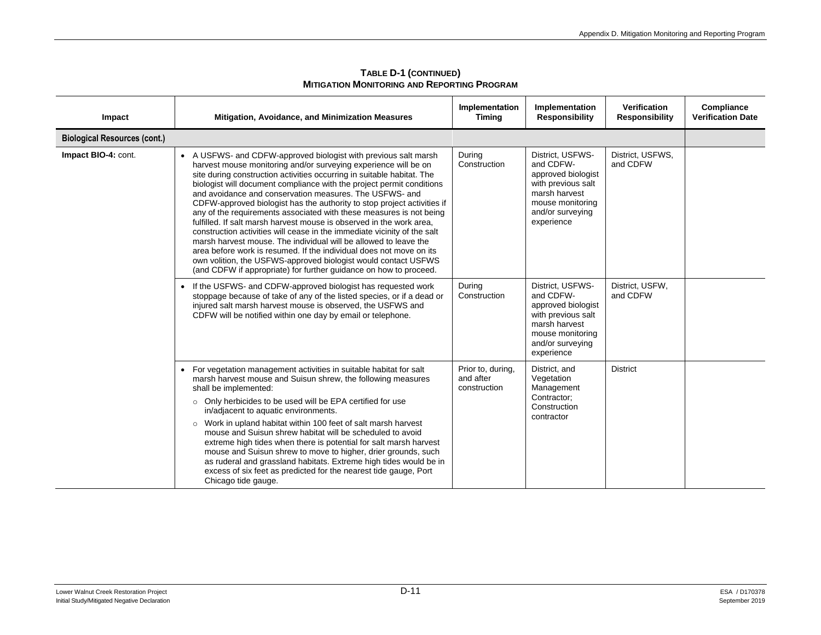| Impact                              | <b>Mitigation, Avoidance, and Minimization Measures</b>                                                                                                                                                                                                                                                                                                                                                                                                                                                                                                                                                                                                                                                                                                                                                                                                                                                                                             | Implementation<br><b>Timing</b>                | Implementation<br><b>Responsibility</b>                                                                                                          | Verification<br><b>Responsibility</b> | Compliance<br><b>Verification Date</b> |
|-------------------------------------|-----------------------------------------------------------------------------------------------------------------------------------------------------------------------------------------------------------------------------------------------------------------------------------------------------------------------------------------------------------------------------------------------------------------------------------------------------------------------------------------------------------------------------------------------------------------------------------------------------------------------------------------------------------------------------------------------------------------------------------------------------------------------------------------------------------------------------------------------------------------------------------------------------------------------------------------------------|------------------------------------------------|--------------------------------------------------------------------------------------------------------------------------------------------------|---------------------------------------|----------------------------------------|
| <b>Biological Resources (cont.)</b> |                                                                                                                                                                                                                                                                                                                                                                                                                                                                                                                                                                                                                                                                                                                                                                                                                                                                                                                                                     |                                                |                                                                                                                                                  |                                       |                                        |
| Impact BIO-4: cont.                 | A USFWS- and CDFW-approved biologist with previous salt marsh<br>$\bullet$<br>harvest mouse monitoring and/or surveying experience will be on<br>site during construction activities occurring in suitable habitat. The<br>biologist will document compliance with the project permit conditions<br>and avoidance and conservation measures. The USFWS- and<br>CDFW-approved biologist has the authority to stop project activities if<br>any of the requirements associated with these measures is not being<br>fulfilled. If salt marsh harvest mouse is observed in the work area,<br>construction activities will cease in the immediate vicinity of the salt<br>marsh harvest mouse. The individual will be allowed to leave the<br>area before work is resumed. If the individual does not move on its<br>own volition, the USFWS-approved biologist would contact USFWS<br>(and CDFW if appropriate) for further guidance on how to proceed. | During<br>Construction                         | District, USFWS-<br>and CDFW-<br>approved biologist<br>with previous salt<br>marsh harvest<br>mouse monitoring<br>and/or surveying<br>experience | District, USFWS,<br>and CDFW          |                                        |
|                                     | If the USFWS- and CDFW-approved biologist has requested work<br>$\bullet$<br>stoppage because of take of any of the listed species, or if a dead or<br>injured salt marsh harvest mouse is observed, the USFWS and<br>CDFW will be notified within one day by email or telephone.                                                                                                                                                                                                                                                                                                                                                                                                                                                                                                                                                                                                                                                                   | During<br>Construction                         | District, USFWS-<br>and CDFW-<br>approved biologist<br>with previous salt<br>marsh harvest<br>mouse monitoring<br>and/or surveying<br>experience | District, USFW,<br>and CDFW           |                                        |
|                                     | For vegetation management activities in suitable habitat for salt<br>$\bullet$<br>marsh harvest mouse and Suisun shrew, the following measures<br>shall be implemented:<br>o Only herbicides to be used will be EPA certified for use<br>in/adjacent to aquatic environments.<br>$\circ$ Work in upland habitat within 100 feet of salt marsh harvest<br>mouse and Suisun shrew habitat will be scheduled to avoid<br>extreme high tides when there is potential for salt marsh harvest<br>mouse and Suisun shrew to move to higher, drier grounds, such<br>as ruderal and grassland habitats. Extreme high tides would be in<br>excess of six feet as predicted for the nearest tide gauge, Port<br>Chicago tide gauge.                                                                                                                                                                                                                            | Prior to, during,<br>and after<br>construction | District, and<br>Vegetation<br>Management<br>Contractor:<br>Construction<br>contractor                                                           | <b>District</b>                       |                                        |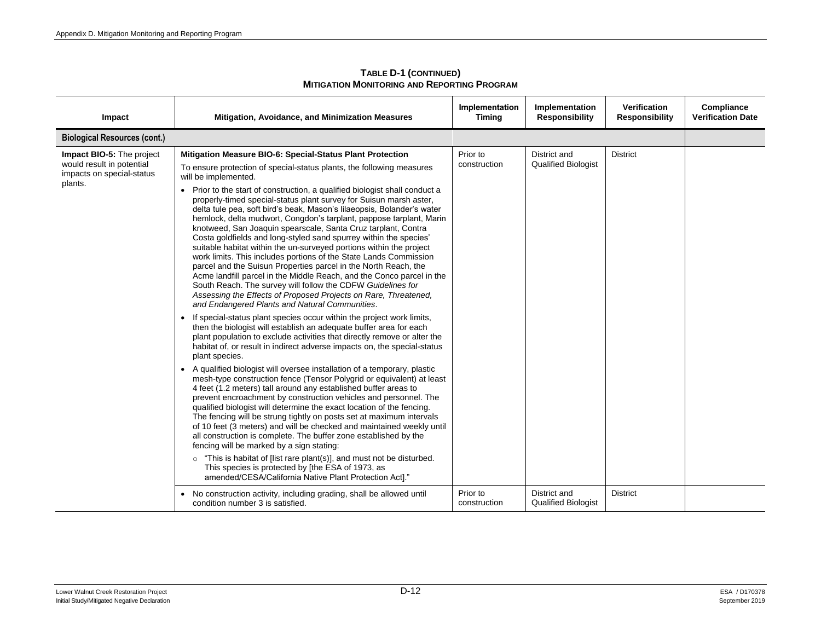| Impact                                                                                         | <b>Mitigation, Avoidance, and Minimization Measures</b>                                                                                                                                                                                                                                                                                                                                                                                                                                                                                                                                                                                                                                                                                                                                                                                                                                                            | Implementation<br><b>Timing</b> | Implementation<br><b>Responsibility</b>    | <b>Verification</b><br><b>Responsibility</b> | Compliance<br><b>Verification Date</b> |
|------------------------------------------------------------------------------------------------|--------------------------------------------------------------------------------------------------------------------------------------------------------------------------------------------------------------------------------------------------------------------------------------------------------------------------------------------------------------------------------------------------------------------------------------------------------------------------------------------------------------------------------------------------------------------------------------------------------------------------------------------------------------------------------------------------------------------------------------------------------------------------------------------------------------------------------------------------------------------------------------------------------------------|---------------------------------|--------------------------------------------|----------------------------------------------|----------------------------------------|
| <b>Biological Resources (cont.)</b>                                                            |                                                                                                                                                                                                                                                                                                                                                                                                                                                                                                                                                                                                                                                                                                                                                                                                                                                                                                                    |                                 |                                            |                                              |                                        |
| Impact BIO-5: The project<br>would result in potential<br>impacts on special-status<br>plants. | Mitigation Measure BIO-6: Special-Status Plant Protection<br>To ensure protection of special-status plants, the following measures<br>will be implemented.                                                                                                                                                                                                                                                                                                                                                                                                                                                                                                                                                                                                                                                                                                                                                         | Prior to<br>construction        | District and<br><b>Qualified Biologist</b> | <b>District</b>                              |                                        |
|                                                                                                | Prior to the start of construction, a qualified biologist shall conduct a<br>properly-timed special-status plant survey for Suisun marsh aster,<br>delta tule pea, soft bird's beak, Mason's lilaeopsis, Bolander's water<br>hemlock, delta mudwort, Congdon's tarplant, pappose tarplant, Marin<br>knotweed, San Joaquin spearscale, Santa Cruz tarplant, Contra<br>Costa goldfields and long-styled sand spurrey within the species'<br>suitable habitat within the un-surveyed portions within the project<br>work limits. This includes portions of the State Lands Commission<br>parcel and the Suisun Properties parcel in the North Reach, the<br>Acme landfill parcel in the Middle Reach, and the Conco parcel in the<br>South Reach. The survey will follow the CDFW Guidelines for<br>Assessing the Effects of Proposed Projects on Rare, Threatened,<br>and Endangered Plants and Natural Communities. |                                 |                                            |                                              |                                        |
|                                                                                                | If special-status plant species occur within the project work limits,<br>$\bullet$<br>then the biologist will establish an adequate buffer area for each<br>plant population to exclude activities that directly remove or alter the<br>habitat of, or result in indirect adverse impacts on, the special-status<br>plant species.                                                                                                                                                                                                                                                                                                                                                                                                                                                                                                                                                                                 |                                 |                                            |                                              |                                        |
|                                                                                                | • A qualified biologist will oversee installation of a temporary, plastic<br>mesh-type construction fence (Tensor Polygrid or equivalent) at least<br>4 feet (1.2 meters) tall around any established buffer areas to<br>prevent encroachment by construction vehicles and personnel. The<br>qualified biologist will determine the exact location of the fencing.<br>The fencing will be strung tightly on posts set at maximum intervals<br>of 10 feet (3 meters) and will be checked and maintained weekly until<br>all construction is complete. The buffer zone established by the<br>fencing will be marked by a sign stating:                                                                                                                                                                                                                                                                               |                                 |                                            |                                              |                                        |
|                                                                                                | $\circ$ "This is habitat of [list rare plant(s)], and must not be disturbed.<br>This species is protected by [the ESA of 1973, as<br>amended/CESA/California Native Plant Protection Act]."                                                                                                                                                                                                                                                                                                                                                                                                                                                                                                                                                                                                                                                                                                                        |                                 |                                            |                                              |                                        |
|                                                                                                | No construction activity, including grading, shall be allowed until<br>condition number 3 is satisfied.                                                                                                                                                                                                                                                                                                                                                                                                                                                                                                                                                                                                                                                                                                                                                                                                            | Prior to<br>construction        | District and<br><b>Qualified Biologist</b> | <b>District</b>                              |                                        |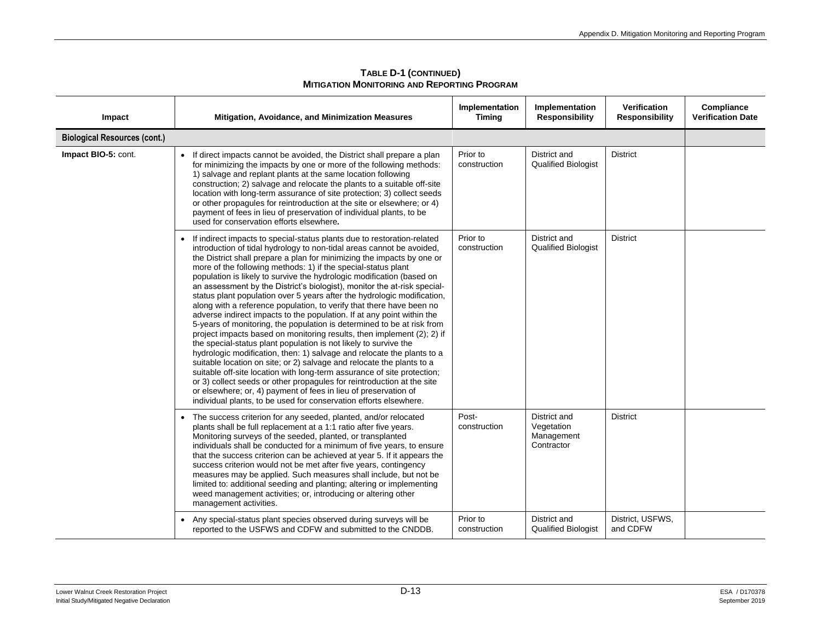| Impact                              | Mitigation, Avoidance, and Minimization Measures                                                                                                                                                                                                                                                                                                                                                                                                                                                                                                                                                                                                                                                                                                                                                                                                                                                                                                                                                                                                                                                                                                                                                                                                                                                                                                      | Implementation<br><b>Timing</b> | Implementation<br><b>Responsibility</b>                | Verification<br><b>Responsibility</b> | Compliance<br><b>Verification Date</b> |
|-------------------------------------|-------------------------------------------------------------------------------------------------------------------------------------------------------------------------------------------------------------------------------------------------------------------------------------------------------------------------------------------------------------------------------------------------------------------------------------------------------------------------------------------------------------------------------------------------------------------------------------------------------------------------------------------------------------------------------------------------------------------------------------------------------------------------------------------------------------------------------------------------------------------------------------------------------------------------------------------------------------------------------------------------------------------------------------------------------------------------------------------------------------------------------------------------------------------------------------------------------------------------------------------------------------------------------------------------------------------------------------------------------|---------------------------------|--------------------------------------------------------|---------------------------------------|----------------------------------------|
| <b>Biological Resources (cont.)</b> |                                                                                                                                                                                                                                                                                                                                                                                                                                                                                                                                                                                                                                                                                                                                                                                                                                                                                                                                                                                                                                                                                                                                                                                                                                                                                                                                                       |                                 |                                                        |                                       |                                        |
| Impact BIO-5: cont.                 | If direct impacts cannot be avoided, the District shall prepare a plan<br>for minimizing the impacts by one or more of the following methods:<br>1) salvage and replant plants at the same location following<br>construction; 2) salvage and relocate the plants to a suitable off-site<br>location with long-term assurance of site protection; 3) collect seeds<br>or other propagules for reintroduction at the site or elsewhere; or 4)<br>payment of fees in lieu of preservation of individual plants, to be<br>used for conservation efforts elsewhere.                                                                                                                                                                                                                                                                                                                                                                                                                                                                                                                                                                                                                                                                                                                                                                                       | Prior to<br>construction        | District and<br><b>Qualified Biologist</b>             | <b>District</b>                       |                                        |
|                                     | If indirect impacts to special-status plants due to restoration-related<br>introduction of tidal hydrology to non-tidal areas cannot be avoided,<br>the District shall prepare a plan for minimizing the impacts by one or<br>more of the following methods: 1) if the special-status plant<br>population is likely to survive the hydrologic modification (based on<br>an assessment by the District's biologist), monitor the at-risk special-<br>status plant population over 5 years after the hydrologic modification,<br>along with a reference population, to verify that there have been no<br>adverse indirect impacts to the population. If at any point within the<br>5-years of monitoring, the population is determined to be at risk from<br>project impacts based on monitoring results, then implement (2); 2) if<br>the special-status plant population is not likely to survive the<br>hydrologic modification, then: 1) salvage and relocate the plants to a<br>suitable location on site; or 2) salvage and relocate the plants to a<br>suitable off-site location with long-term assurance of site protection;<br>or 3) collect seeds or other propagules for reintroduction at the site<br>or elsewhere; or, 4) payment of fees in lieu of preservation of<br>individual plants, to be used for conservation efforts elsewhere. | Prior to<br>construction        | District and<br><b>Qualified Biologist</b>             | <b>District</b>                       |                                        |
|                                     | The success criterion for any seeded, planted, and/or relocated<br>plants shall be full replacement at a 1:1 ratio after five years.<br>Monitoring surveys of the seeded, planted, or transplanted<br>individuals shall be conducted for a minimum of five years, to ensure<br>that the success criterion can be achieved at year 5. If it appears the<br>success criterion would not be met after five years, contingency<br>measures may be applied. Such measures shall include, but not be<br>limited to: additional seeding and planting; altering or implementing<br>weed management activities; or, introducing or altering other<br>management activities.                                                                                                                                                                                                                                                                                                                                                                                                                                                                                                                                                                                                                                                                                    | Post-<br>construction           | District and<br>Vegetation<br>Management<br>Contractor | <b>District</b>                       |                                        |
|                                     | Any special-status plant species observed during surveys will be<br>reported to the USFWS and CDFW and submitted to the CNDDB.                                                                                                                                                                                                                                                                                                                                                                                                                                                                                                                                                                                                                                                                                                                                                                                                                                                                                                                                                                                                                                                                                                                                                                                                                        | Prior to<br>construction        | District and<br><b>Qualified Biologist</b>             | District, USFWS,<br>and CDFW          |                                        |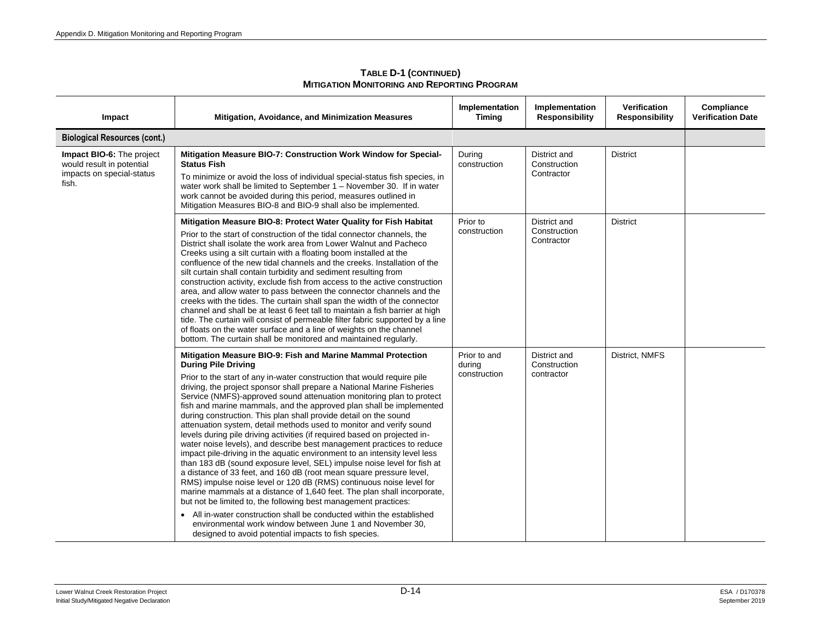| Impact                                                                                       | <b>Mitigation, Avoidance, and Minimization Measures</b>                                                                                                                                                                                                                                                                                                                                                                                                                                                                                                                                                                                                                                                                                                                                                                                                                                                                                                                                                                                                                                                                                                                                                                                                                                                                                          | Implementation<br><b>Timing</b>        | Implementation<br><b>Responsibility</b>    | Verification<br><b>Responsibility</b> | Compliance<br><b>Verification Date</b> |
|----------------------------------------------------------------------------------------------|--------------------------------------------------------------------------------------------------------------------------------------------------------------------------------------------------------------------------------------------------------------------------------------------------------------------------------------------------------------------------------------------------------------------------------------------------------------------------------------------------------------------------------------------------------------------------------------------------------------------------------------------------------------------------------------------------------------------------------------------------------------------------------------------------------------------------------------------------------------------------------------------------------------------------------------------------------------------------------------------------------------------------------------------------------------------------------------------------------------------------------------------------------------------------------------------------------------------------------------------------------------------------------------------------------------------------------------------------|----------------------------------------|--------------------------------------------|---------------------------------------|----------------------------------------|
| <b>Biological Resources (cont.)</b>                                                          |                                                                                                                                                                                                                                                                                                                                                                                                                                                                                                                                                                                                                                                                                                                                                                                                                                                                                                                                                                                                                                                                                                                                                                                                                                                                                                                                                  |                                        |                                            |                                       |                                        |
| Impact BIO-6: The project<br>would result in potential<br>impacts on special-status<br>fish. | Mitigation Measure BIO-7: Construction Work Window for Special-<br><b>Status Fish</b><br>To minimize or avoid the loss of individual special-status fish species, in<br>water work shall be limited to September 1 – November 30. If in water<br>work cannot be avoided during this period, measures outlined in<br>Mitigation Measures BIO-8 and BIO-9 shall also be implemented.                                                                                                                                                                                                                                                                                                                                                                                                                                                                                                                                                                                                                                                                                                                                                                                                                                                                                                                                                               | During<br>construction                 | District and<br>Construction<br>Contractor | <b>District</b>                       |                                        |
|                                                                                              | Mitigation Measure BIO-8: Protect Water Quality for Fish Habitat<br>Prior to the start of construction of the tidal connector channels, the<br>District shall isolate the work area from Lower Walnut and Pacheco<br>Creeks using a silt curtain with a floating boom installed at the<br>confluence of the new tidal channels and the creeks. Installation of the<br>silt curtain shall contain turbidity and sediment resulting from<br>construction activity, exclude fish from access to the active construction<br>area, and allow water to pass between the connector channels and the<br>creeks with the tides. The curtain shall span the width of the connector<br>channel and shall be at least 6 feet tall to maintain a fish barrier at high<br>tide. The curtain will consist of permeable filter fabric supported by a line<br>of floats on the water surface and a line of weights on the channel<br>bottom. The curtain shall be monitored and maintained regularly.                                                                                                                                                                                                                                                                                                                                                             | Prior to<br>construction               | District and<br>Construction<br>Contractor | <b>District</b>                       |                                        |
|                                                                                              | Mitigation Measure BIO-9: Fish and Marine Mammal Protection<br><b>During Pile Driving</b><br>Prior to the start of any in-water construction that would require pile<br>driving, the project sponsor shall prepare a National Marine Fisheries<br>Service (NMFS)-approved sound attenuation monitoring plan to protect<br>fish and marine mammals, and the approved plan shall be implemented<br>during construction. This plan shall provide detail on the sound<br>attenuation system, detail methods used to monitor and verify sound<br>levels during pile driving activities (if required based on projected in-<br>water noise levels), and describe best management practices to reduce<br>impact pile-driving in the aquatic environment to an intensity level less<br>than 183 dB (sound exposure level, SEL) impulse noise level for fish at<br>a distance of 33 feet, and 160 dB (root mean square pressure level,<br>RMS) impulse noise level or 120 dB (RMS) continuous noise level for<br>marine mammals at a distance of 1,640 feet. The plan shall incorporate,<br>but not be limited to, the following best management practices:<br>• All in-water construction shall be conducted within the established<br>environmental work window between June 1 and November 30,<br>designed to avoid potential impacts to fish species. | Prior to and<br>during<br>construction | District and<br>Construction<br>contractor | District, NMFS                        |                                        |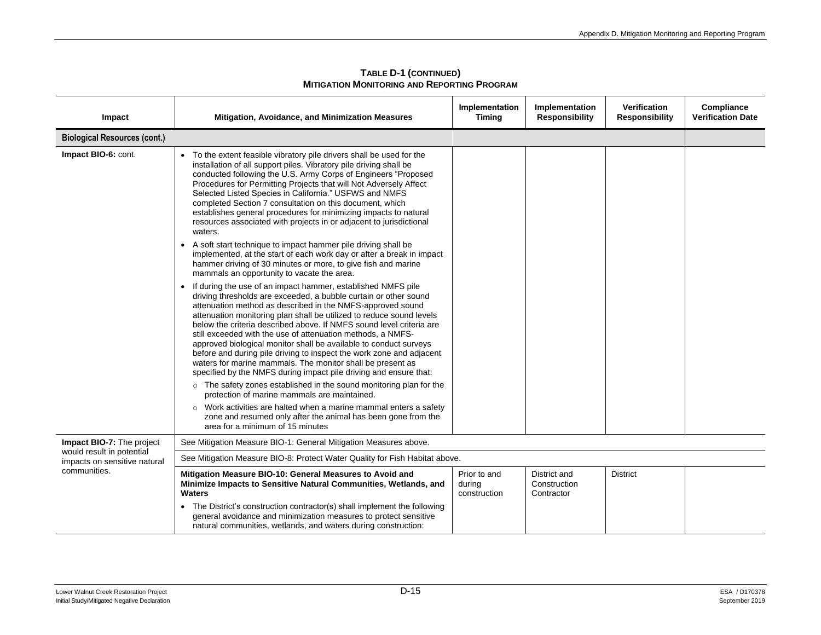| Impact                                                    | Mitigation, Avoidance, and Minimization Measures                                                                                                                                                                                                                                                                                                                                                                                                                                                                                                                                                                                                                                                           | Implementation<br><b>Timing</b>        | Implementation<br><b>Responsibility</b>    | <b>Verification</b><br><b>Responsibility</b> | Compliance<br><b>Verification Date</b> |
|-----------------------------------------------------------|------------------------------------------------------------------------------------------------------------------------------------------------------------------------------------------------------------------------------------------------------------------------------------------------------------------------------------------------------------------------------------------------------------------------------------------------------------------------------------------------------------------------------------------------------------------------------------------------------------------------------------------------------------------------------------------------------------|----------------------------------------|--------------------------------------------|----------------------------------------------|----------------------------------------|
| <b>Biological Resources (cont.)</b>                       |                                                                                                                                                                                                                                                                                                                                                                                                                                                                                                                                                                                                                                                                                                            |                                        |                                            |                                              |                                        |
| Impact BIO-6: cont.                                       | To the extent feasible vibratory pile drivers shall be used for the<br>installation of all support piles. Vibratory pile driving shall be<br>conducted following the U.S. Army Corps of Engineers "Proposed<br>Procedures for Permitting Projects that will Not Adversely Affect<br>Selected Listed Species in California." USFWS and NMFS<br>completed Section 7 consultation on this document, which<br>establishes general procedures for minimizing impacts to natural<br>resources associated with projects in or adjacent to jurisdictional<br>waters.                                                                                                                                               |                                        |                                            |                                              |                                        |
|                                                           | A soft start technique to impact hammer pile driving shall be<br>$\bullet$<br>implemented, at the start of each work day or after a break in impact<br>hammer driving of 30 minutes or more, to give fish and marine<br>mammals an opportunity to vacate the area.                                                                                                                                                                                                                                                                                                                                                                                                                                         |                                        |                                            |                                              |                                        |
|                                                           | If during the use of an impact hammer, established NMFS pile<br>$\bullet$<br>driving thresholds are exceeded, a bubble curtain or other sound<br>attenuation method as described in the NMFS-approved sound<br>attenuation monitoring plan shall be utilized to reduce sound levels<br>below the criteria described above. If NMFS sound level criteria are<br>still exceeded with the use of attenuation methods, a NMFS-<br>approved biological monitor shall be available to conduct surveys<br>before and during pile driving to inspect the work zone and adjacent<br>waters for marine mammals. The monitor shall be present as<br>specified by the NMFS during impact pile driving and ensure that: |                                        |                                            |                                              |                                        |
|                                                           | o The safety zones established in the sound monitoring plan for the<br>protection of marine mammals are maintained.<br>o Work activities are halted when a marine mammal enters a safety                                                                                                                                                                                                                                                                                                                                                                                                                                                                                                                   |                                        |                                            |                                              |                                        |
|                                                           | zone and resumed only after the animal has been gone from the<br>area for a minimum of 15 minutes                                                                                                                                                                                                                                                                                                                                                                                                                                                                                                                                                                                                          |                                        |                                            |                                              |                                        |
| Impact BIO-7: The project                                 | See Mitigation Measure BIO-1: General Mitigation Measures above.                                                                                                                                                                                                                                                                                                                                                                                                                                                                                                                                                                                                                                           |                                        |                                            |                                              |                                        |
| would result in potential<br>impacts on sensitive natural | See Mitigation Measure BIO-8: Protect Water Quality for Fish Habitat above.                                                                                                                                                                                                                                                                                                                                                                                                                                                                                                                                                                                                                                |                                        |                                            |                                              |                                        |
| communities.                                              | Mitigation Measure BIO-10: General Measures to Avoid and<br>Minimize Impacts to Sensitive Natural Communities, Wetlands, and<br><b>Waters</b>                                                                                                                                                                                                                                                                                                                                                                                                                                                                                                                                                              | Prior to and<br>during<br>construction | District and<br>Construction<br>Contractor | <b>District</b>                              |                                        |
|                                                           | The District's construction contractor(s) shall implement the following<br>general avoidance and minimization measures to protect sensitive<br>natural communities, wetlands, and waters during construction:                                                                                                                                                                                                                                                                                                                                                                                                                                                                                              |                                        |                                            |                                              |                                        |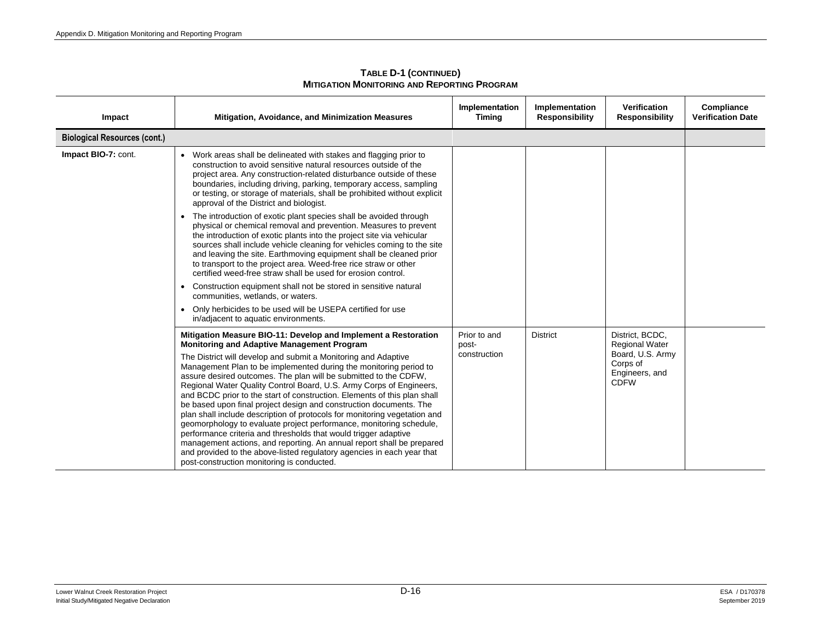| Impact                              | <b>Mitigation, Avoidance, and Minimization Measures</b>                                                                                                                                                                                                                                                                                                                                                                                                                                                                                                                                                                                                                                                                                                                                                                                                                                                                                                                         | Implementation<br><b>Timing</b>       | Implementation<br><b>Responsibility</b> | Verification<br><b>Responsibility</b>                                                                     | Compliance<br><b>Verification Date</b> |
|-------------------------------------|---------------------------------------------------------------------------------------------------------------------------------------------------------------------------------------------------------------------------------------------------------------------------------------------------------------------------------------------------------------------------------------------------------------------------------------------------------------------------------------------------------------------------------------------------------------------------------------------------------------------------------------------------------------------------------------------------------------------------------------------------------------------------------------------------------------------------------------------------------------------------------------------------------------------------------------------------------------------------------|---------------------------------------|-----------------------------------------|-----------------------------------------------------------------------------------------------------------|----------------------------------------|
| <b>Biological Resources (cont.)</b> |                                                                                                                                                                                                                                                                                                                                                                                                                                                                                                                                                                                                                                                                                                                                                                                                                                                                                                                                                                                 |                                       |                                         |                                                                                                           |                                        |
| Impact BIO-7: cont.                 | Work areas shall be delineated with stakes and flagging prior to<br>construction to avoid sensitive natural resources outside of the<br>project area. Any construction-related disturbance outside of these<br>boundaries, including driving, parking, temporary access, sampling<br>or testing, or storage of materials, shall be prohibited without explicit<br>approval of the District and biologist.                                                                                                                                                                                                                                                                                                                                                                                                                                                                                                                                                                       |                                       |                                         |                                                                                                           |                                        |
|                                     | The introduction of exotic plant species shall be avoided through<br>$\bullet$<br>physical or chemical removal and prevention. Measures to prevent<br>the introduction of exotic plants into the project site via vehicular<br>sources shall include vehicle cleaning for vehicles coming to the site<br>and leaving the site. Earthmoving equipment shall be cleaned prior<br>to transport to the project area. Weed-free rice straw or other<br>certified weed-free straw shall be used for erosion control.                                                                                                                                                                                                                                                                                                                                                                                                                                                                  |                                       |                                         |                                                                                                           |                                        |
|                                     | Construction equipment shall not be stored in sensitive natural<br>$\bullet$<br>communities, wetlands, or waters.                                                                                                                                                                                                                                                                                                                                                                                                                                                                                                                                                                                                                                                                                                                                                                                                                                                               |                                       |                                         |                                                                                                           |                                        |
|                                     | Only herbicides to be used will be USEPA certified for use<br>$\bullet$<br>in/adiacent to aquatic environments.                                                                                                                                                                                                                                                                                                                                                                                                                                                                                                                                                                                                                                                                                                                                                                                                                                                                 |                                       |                                         |                                                                                                           |                                        |
|                                     | Mitigation Measure BIO-11: Develop and Implement a Restoration<br><b>Monitoring and Adaptive Management Program</b><br>The District will develop and submit a Monitoring and Adaptive<br>Management Plan to be implemented during the monitoring period to<br>assure desired outcomes. The plan will be submitted to the CDFW.<br>Regional Water Quality Control Board, U.S. Army Corps of Engineers,<br>and BCDC prior to the start of construction. Elements of this plan shall<br>be based upon final project design and construction documents. The<br>plan shall include description of protocols for monitoring vegetation and<br>geomorphology to evaluate project performance, monitoring schedule,<br>performance criteria and thresholds that would trigger adaptive<br>management actions, and reporting. An annual report shall be prepared<br>and provided to the above-listed regulatory agencies in each year that<br>post-construction monitoring is conducted. | Prior to and<br>post-<br>construction | <b>District</b>                         | District, BCDC,<br><b>Regional Water</b><br>Board, U.S. Army<br>Corps of<br>Engineers, and<br><b>CDFW</b> |                                        |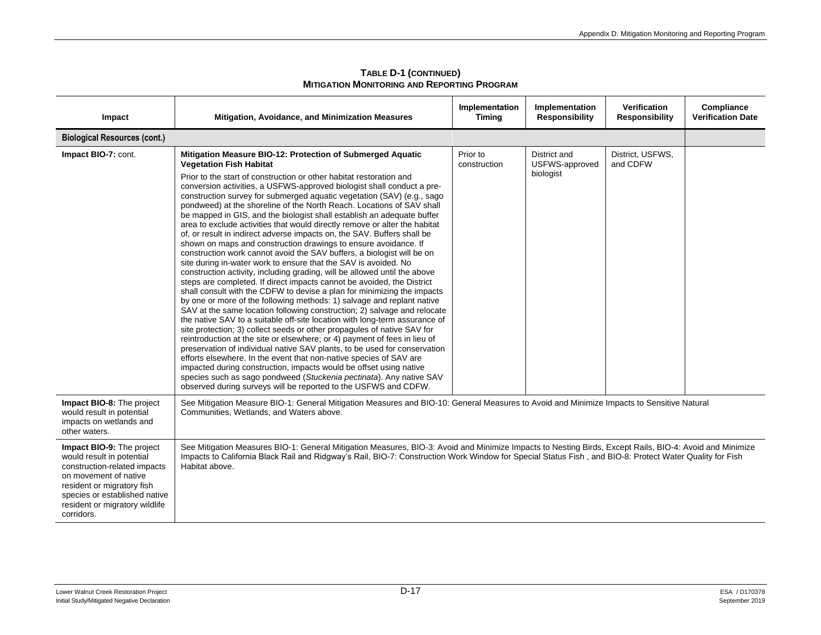| Impact                                                                                                                                                                                                                         | <b>Mitigation, Avoidance, and Minimization Measures</b>                                                                                                                                                                                                                                                                                                                                                                                                                                                                                                                                                                                                                                                                                                                                                                                                                                                                                                                                                                                                                                                                                                                                                                                                                                                                                                                                                                                                                                                                                                                                                                                                                                                                                                                                                                                              | Implementation<br><b>Timing</b> | Implementation<br><b>Responsibility</b>     | <b>Verification</b><br><b>Responsibility</b> | Compliance<br><b>Verification Date</b> |  |
|--------------------------------------------------------------------------------------------------------------------------------------------------------------------------------------------------------------------------------|------------------------------------------------------------------------------------------------------------------------------------------------------------------------------------------------------------------------------------------------------------------------------------------------------------------------------------------------------------------------------------------------------------------------------------------------------------------------------------------------------------------------------------------------------------------------------------------------------------------------------------------------------------------------------------------------------------------------------------------------------------------------------------------------------------------------------------------------------------------------------------------------------------------------------------------------------------------------------------------------------------------------------------------------------------------------------------------------------------------------------------------------------------------------------------------------------------------------------------------------------------------------------------------------------------------------------------------------------------------------------------------------------------------------------------------------------------------------------------------------------------------------------------------------------------------------------------------------------------------------------------------------------------------------------------------------------------------------------------------------------------------------------------------------------------------------------------------------------|---------------------------------|---------------------------------------------|----------------------------------------------|----------------------------------------|--|
| <b>Biological Resources (cont.)</b>                                                                                                                                                                                            |                                                                                                                                                                                                                                                                                                                                                                                                                                                                                                                                                                                                                                                                                                                                                                                                                                                                                                                                                                                                                                                                                                                                                                                                                                                                                                                                                                                                                                                                                                                                                                                                                                                                                                                                                                                                                                                      |                                 |                                             |                                              |                                        |  |
| Impact BIO-7: cont.                                                                                                                                                                                                            | Mitigation Measure BIO-12: Protection of Submerged Aquatic<br><b>Vegetation Fish Habitat</b><br>Prior to the start of construction or other habitat restoration and<br>conversion activities, a USFWS-approved biologist shall conduct a pre-<br>construction survey for submerged aquatic vegetation (SAV) (e.g., sago<br>pondweed) at the shoreline of the North Reach. Locations of SAV shall<br>be mapped in GIS, and the biologist shall establish an adequate buffer<br>area to exclude activities that would directly remove or alter the habitat<br>of, or result in indirect adverse impacts on, the SAV. Buffers shall be<br>shown on maps and construction drawings to ensure avoidance. If<br>construction work cannot avoid the SAV buffers, a biologist will be on<br>site during in-water work to ensure that the SAV is avoided. No<br>construction activity, including grading, will be allowed until the above<br>steps are completed. If direct impacts cannot be avoided, the District<br>shall consult with the CDFW to devise a plan for minimizing the impacts<br>by one or more of the following methods: 1) salvage and replant native<br>SAV at the same location following construction; 2) salvage and relocate<br>the native SAV to a suitable off-site location with long-term assurance of<br>site protection; 3) collect seeds or other propagules of native SAV for<br>reintroduction at the site or elsewhere; or 4) payment of fees in lieu of<br>preservation of individual native SAV plants, to be used for conservation<br>efforts elsewhere. In the event that non-native species of SAV are<br>impacted during construction, impacts would be offset using native<br>species such as sago pondweed (Stuckenia pectinata). Any native SAV<br>observed during surveys will be reported to the USFWS and CDFW. | Prior to<br>construction        | District and<br>USFWS-approved<br>biologist | District, USFWS,<br>and CDFW                 |                                        |  |
| Impact BIO-8: The project<br>would result in potential<br>impacts on wetlands and<br>other waters.                                                                                                                             | See Mitigation Measure BIO-1: General Mitigation Measures and BIO-10: General Measures to Avoid and Minimize Impacts to Sensitive Natural<br>Communities, Wetlands, and Waters above.                                                                                                                                                                                                                                                                                                                                                                                                                                                                                                                                                                                                                                                                                                                                                                                                                                                                                                                                                                                                                                                                                                                                                                                                                                                                                                                                                                                                                                                                                                                                                                                                                                                                |                                 |                                             |                                              |                                        |  |
| Impact BIO-9: The project<br>would result in potential<br>construction-related impacts<br>on movement of native<br>resident or migratory fish<br>species or established native<br>resident or migratory wildlife<br>corridors. | See Mitigation Measures BIO-1: General Mitigation Measures, BIO-3: Avoid and Minimize Impacts to Nesting Birds, Except Rails, BIO-4: Avoid and Minimize<br>Impacts to California Black Rail and Ridgway's Rail, BIO-7: Construction Work Window for Special Status Fish, and BIO-8: Protect Water Quality for Fish<br>Habitat above.                                                                                                                                                                                                                                                                                                                                                                                                                                                                                                                                                                                                                                                                                                                                                                                                                                                                                                                                                                                                                                                                                                                                                                                                                                                                                                                                                                                                                                                                                                                 |                                 |                                             |                                              |                                        |  |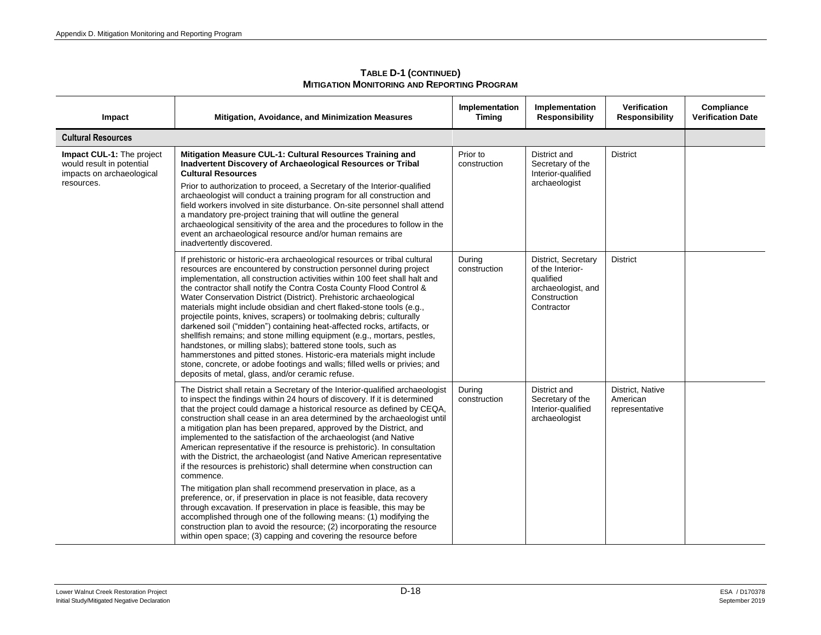| Impact                                                                                            | Mitigation, Avoidance, and Minimization Measures                                                                                                                                                                                                                                                                                                                                                                                                                                                                                                                                                                                                                                                                                                                                                                                                                                                                                                                                                                                                                                                                                                       | Implementation<br><b>Timing</b> | Implementation<br><b>Responsibility</b>                                                                  | <b>Verification</b><br><b>Responsibility</b>   | Compliance<br><b>Verification Date</b> |
|---------------------------------------------------------------------------------------------------|--------------------------------------------------------------------------------------------------------------------------------------------------------------------------------------------------------------------------------------------------------------------------------------------------------------------------------------------------------------------------------------------------------------------------------------------------------------------------------------------------------------------------------------------------------------------------------------------------------------------------------------------------------------------------------------------------------------------------------------------------------------------------------------------------------------------------------------------------------------------------------------------------------------------------------------------------------------------------------------------------------------------------------------------------------------------------------------------------------------------------------------------------------|---------------------------------|----------------------------------------------------------------------------------------------------------|------------------------------------------------|----------------------------------------|
| <b>Cultural Resources</b>                                                                         |                                                                                                                                                                                                                                                                                                                                                                                                                                                                                                                                                                                                                                                                                                                                                                                                                                                                                                                                                                                                                                                                                                                                                        |                                 |                                                                                                          |                                                |                                        |
| Impact CUL-1: The project<br>would result in potential<br>impacts on archaeological<br>resources. | Mitigation Measure CUL-1: Cultural Resources Training and<br>Inadvertent Discovery of Archaeological Resources or Tribal<br><b>Cultural Resources</b><br>Prior to authorization to proceed, a Secretary of the Interior-qualified<br>archaeologist will conduct a training program for all construction and<br>field workers involved in site disturbance. On-site personnel shall attend<br>a mandatory pre-project training that will outline the general<br>archaeological sensitivity of the area and the procedures to follow in the<br>event an archaeological resource and/or human remains are<br>inadvertently discovered.                                                                                                                                                                                                                                                                                                                                                                                                                                                                                                                    | Prior to<br>construction        | District and<br>Secretary of the<br>Interior-qualified<br>archaeologist                                  | <b>District</b>                                |                                        |
|                                                                                                   | If prehistoric or historic-era archaeological resources or tribal cultural<br>resources are encountered by construction personnel during project<br>implementation, all construction activities within 100 feet shall halt and<br>the contractor shall notify the Contra Costa County Flood Control &<br>Water Conservation District (District). Prehistoric archaeological<br>materials might include obsidian and chert flaked-stone tools (e.g.,<br>projectile points, knives, scrapers) or toolmaking debris; culturally<br>darkened soil ("midden") containing heat-affected rocks, artifacts, or<br>shellfish remains; and stone milling equipment (e.g., mortars, pestles,<br>handstones, or milling slabs); battered stone tools, such as<br>hammerstones and pitted stones. Historic-era materials might include<br>stone, concrete, or adobe footings and walls; filled wells or privies; and<br>deposits of metal, glass, and/or ceramic refuse.                                                                                                                                                                                            | During<br>construction          | District, Secretary<br>of the Interior-<br>qualified<br>archaeologist, and<br>Construction<br>Contractor | <b>District</b>                                |                                        |
|                                                                                                   | The District shall retain a Secretary of the Interior-qualified archaeologist<br>to inspect the findings within 24 hours of discovery. If it is determined<br>that the project could damage a historical resource as defined by CEQA,<br>construction shall cease in an area determined by the archaeologist until<br>a mitigation plan has been prepared, approved by the District, and<br>implemented to the satisfaction of the archaeologist (and Native<br>American representative if the resource is prehistoric). In consultation<br>with the District, the archaeologist (and Native American representative<br>if the resources is prehistoric) shall determine when construction can<br>commence.<br>The mitigation plan shall recommend preservation in place, as a<br>preference, or, if preservation in place is not feasible, data recovery<br>through excavation. If preservation in place is feasible, this may be<br>accomplished through one of the following means: (1) modifying the<br>construction plan to avoid the resource; (2) incorporating the resource<br>within open space; (3) capping and covering the resource before | During<br>construction          | District and<br>Secretary of the<br>Interior-qualified<br>archaeologist                                  | District, Native<br>American<br>representative |                                        |

**TABLE D-1 (CONTINUED) MITIGATION MONITORING AND REPORTING PROGRAM**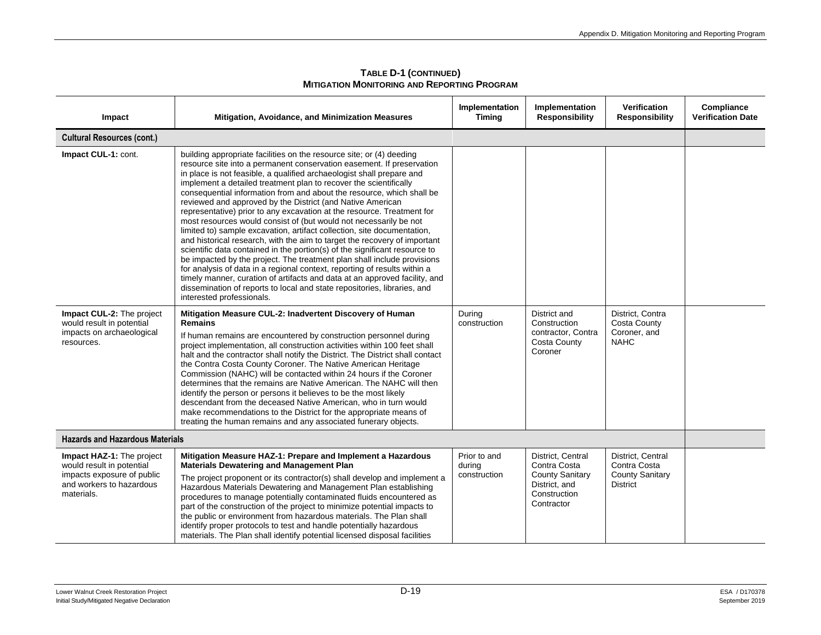| Impact                                                                                                                         | Mitigation, Avoidance, and Minimization Measures                                                                                                                                                                                                                                                                                                                                                                                                                                                                                                                                                                                                                                                                                                                                                                                                                                                                                                                                                                                                                                                                                                                       | Implementation<br><b>Timing</b>        | Implementation<br><b>Responsibility</b>                                                                    | <b>Verification</b><br><b>Responsibility</b>                                   | Compliance<br><b>Verification Date</b> |
|--------------------------------------------------------------------------------------------------------------------------------|------------------------------------------------------------------------------------------------------------------------------------------------------------------------------------------------------------------------------------------------------------------------------------------------------------------------------------------------------------------------------------------------------------------------------------------------------------------------------------------------------------------------------------------------------------------------------------------------------------------------------------------------------------------------------------------------------------------------------------------------------------------------------------------------------------------------------------------------------------------------------------------------------------------------------------------------------------------------------------------------------------------------------------------------------------------------------------------------------------------------------------------------------------------------|----------------------------------------|------------------------------------------------------------------------------------------------------------|--------------------------------------------------------------------------------|----------------------------------------|
| <b>Cultural Resources (cont.)</b>                                                                                              |                                                                                                                                                                                                                                                                                                                                                                                                                                                                                                                                                                                                                                                                                                                                                                                                                                                                                                                                                                                                                                                                                                                                                                        |                                        |                                                                                                            |                                                                                |                                        |
| Impact CUL-1: cont.                                                                                                            | building appropriate facilities on the resource site; or (4) deeding<br>resource site into a permanent conservation easement. If preservation<br>in place is not feasible, a qualified archaeologist shall prepare and<br>implement a detailed treatment plan to recover the scientifically<br>consequential information from and about the resource, which shall be<br>reviewed and approved by the District (and Native American<br>representative) prior to any excavation at the resource. Treatment for<br>most resources would consist of (but would not necessarily be not<br>limited to) sample excavation, artifact collection, site documentation,<br>and historical research, with the aim to target the recovery of important<br>scientific data contained in the portion(s) of the significant resource to<br>be impacted by the project. The treatment plan shall include provisions<br>for analysis of data in a regional context, reporting of results within a<br>timely manner, curation of artifacts and data at an approved facility, and<br>dissemination of reports to local and state repositories, libraries, and<br>interested professionals. |                                        |                                                                                                            |                                                                                |                                        |
| Impact CUL-2: The project<br>would result in potential<br>impacts on archaeological<br>resources.                              | Mitigation Measure CUL-2: Inadvertent Discovery of Human<br><b>Remains</b><br>If human remains are encountered by construction personnel during<br>project implementation, all construction activities within 100 feet shall<br>halt and the contractor shall notify the District. The District shall contact<br>the Contra Costa County Coroner. The Native American Heritage<br>Commission (NAHC) will be contacted within 24 hours if the Coroner<br>determines that the remains are Native American. The NAHC will then<br>identify the person or persons it believes to be the most likely<br>descendant from the deceased Native American, who in turn would<br>make recommendations to the District for the appropriate means of<br>treating the human remains and any associated funerary objects.                                                                                                                                                                                                                                                                                                                                                             | During<br>construction                 | District and<br>Construction<br>contractor, Contra<br><b>Costa County</b><br>Coroner                       | District, Contra<br><b>Costa County</b><br>Coroner, and<br><b>NAHC</b>         |                                        |
| <b>Hazards and Hazardous Materials</b>                                                                                         |                                                                                                                                                                                                                                                                                                                                                                                                                                                                                                                                                                                                                                                                                                                                                                                                                                                                                                                                                                                                                                                                                                                                                                        |                                        |                                                                                                            |                                                                                |                                        |
| Impact HAZ-1: The project<br>would result in potential<br>impacts exposure of public<br>and workers to hazardous<br>materials. | Mitigation Measure HAZ-1: Prepare and Implement a Hazardous<br><b>Materials Dewatering and Management Plan</b><br>The project proponent or its contractor(s) shall develop and implement a<br>Hazardous Materials Dewatering and Management Plan establishing<br>procedures to manage potentially contaminated fluids encountered as<br>part of the construction of the project to minimize potential impacts to<br>the public or environment from hazardous materials. The Plan shall<br>identify proper protocols to test and handle potentially hazardous<br>materials. The Plan shall identify potential licensed disposal facilities                                                                                                                                                                                                                                                                                                                                                                                                                                                                                                                              | Prior to and<br>during<br>construction | District, Central<br>Contra Costa<br><b>County Sanitary</b><br>District, and<br>Construction<br>Contractor | District, Central<br>Contra Costa<br><b>County Sanitary</b><br><b>District</b> |                                        |